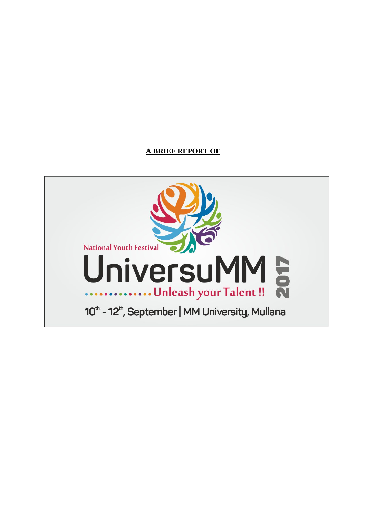### **A BRIEF REPORT OF**

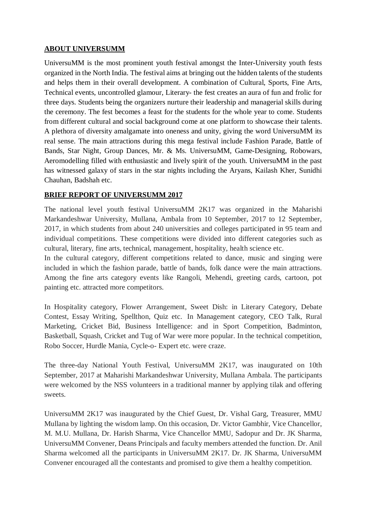### **ABOUT UNIVERSUMM**

UniversuMM is the most prominent youth festival amongst the Inter-University youth fests organized in the North India. The festival aims at bringing out the hidden talents of the students and helps them in their overall development. A combination of Cultural, Sports, Fine Arts, Technical events, uncontrolled glamour, Literary- the fest creates an aura of fun and frolic for three days. Students being the organizers nurture their leadership and managerial skills during the ceremony. The fest becomes a feast for the students for the whole year to come. Students from different cultural and social background come at one platform to showcase their talents. A plethora of diversity amalgamate into oneness and unity, giving the word UniversuMM its real sense. The main attractions during this mega festival include Fashion Parade, Battle of Bands, Star Night, Group Dances, Mr. & Ms. UniversuMM, Game-Designing, Robowars, Aeromodelling filled with enthusiastic and lively spirit of the youth. UniversuMM in the past has witnessed galaxy of stars in the star nights including the Aryans, Kailash Kher, Sunidhi Chauhan, Badshah etc.

### **BRIEF REPORT OF UNIVERSUMM 2017**

The national level youth festival UniversuMM 2K17 was organized in the Maharishi Markandeshwar University, Mullana, Ambala from 10 September, 2017 to 12 September, 2017, in which students from about 240 universities and colleges participated in 95 team and individual competitions. These competitions were divided into different categories such as cultural, literary, fine arts, technical, management, hospitality, health science etc.

In the cultural category, different competitions related to dance, music and singing were included in which the fashion parade, battle of bands, folk dance were the main attractions. Among the fine arts category events like Rangoli, Mehendi, greeting cards, cartoon, pot painting etc. attracted more competitors.

In Hospitality category, Flower Arrangement, Sweet Dish: in Literary Category, Debate Contest, Essay Writing, Spellthon, Quiz etc. In Management category, CEO Talk, Rural Marketing, Cricket Bid, Business Intelligence: and in Sport Competition, Badminton, Basketball, Squash, Cricket and Tug of War were more popular. In the technical competition, Robo Soccer, Hurdle Mania, Cycle-o- Expert etc. were craze.

The three-day National Youth Festival, UniversuMM 2K17, was inaugurated on 10th September, 2017 at Maharishi Markandeshwar University, Mullana Ambala. The participants were welcomed by the NSS volunteers in a traditional manner by applying tilak and offering sweets.

UniversuMM 2K17 was inaugurated by the Chief Guest, Dr. Vishal Garg, Treasurer, MMU Mullana by lighting the wisdom lamp. On this occasion, Dr. Victor Gambhir, Vice Chancellor, M. M.U. Mullana, Dr. Harish Sharma, Vice Chancellor MMU, Sadopur and Dr. JK Sharma, UniversuMM Convener, Deans Principals and faculty members attended the function. Dr. Anil Sharma welcomed all the participants in UniversuMM 2K17. Dr. JK Sharma, UniversuMM Convener encouraged all the contestants and promised to give them a healthy competition.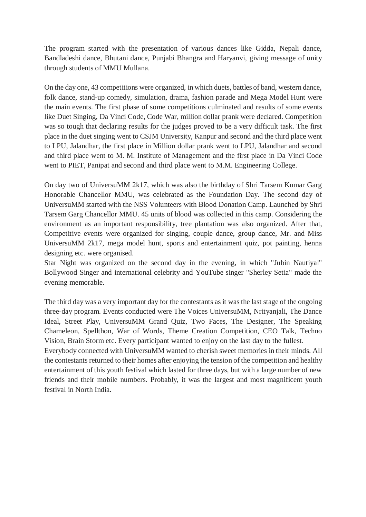The program started with the presentation of various dances like Gidda, Nepali dance, Bandladeshi dance, Bhutani dance, Punjabi Bhangra and Haryanvi, giving message of unity through students of MMU Mullana.

On the day one, 43 competitions were organized, in which duets, battles of band, western dance, folk dance, stand-up comedy, simulation, drama, fashion parade and Mega Model Hunt were the main events. The first phase of some competitions culminated and results of some events like Duet Singing, Da Vinci Code, Code War, million dollar prank were declared. Competition was so tough that declaring results for the judges proved to be a very difficult task. The first place in the duet singing went to CSJM University, Kanpur and second and the third place went to LPU, Jalandhar, the first place in Million dollar prank went to LPU, Jalandhar and second and third place went to M. M. Institute of Management and the first place in Da Vinci Code went to PIET, Panipat and second and third place went to M.M. Engineering College.

On day two of UniversuMM 2k17, which was also the birthday of Shri Tarsem Kumar Garg Honorable Chancellor MMU, was celebrated as the Foundation Day. The second day of UniversuMM started with the NSS Volunteers with Blood Donation Camp. Launched by Shri Tarsem Garg Chancellor MMU. 45 units of blood was collected in this camp. Considering the environment as an important responsibility, tree plantation was also organized. After that, Competitive events were organized for singing, couple dance, group dance, Mr. and Miss UniversuMM 2k17, mega model hunt, sports and entertainment quiz, pot painting, henna designing etc. were organised.

Star Night was organized on the second day in the evening, in which "Jubin Nautiyal" Bollywood Singer and international celebrity and YouTube singer "Sherley Setia" made the evening memorable.

The third day was a very important day for the contestants as it was the last stage of the ongoing three-day program. Events conducted were The Voices UniversuMM, Nrityanjali, The Dance Ideal, Street Play, UniversuMM Grand Quiz, Two Faces, The Designer, The Speaking Chameleon, Spellthon, War of Words, Theme Creation Competition, CEO Talk, Techno Vision, Brain Storm etc. Every participant wanted to enjoy on the last day to the fullest.

Everybody connected with UniversuMM wanted to cherish sweet memories in their minds. All the contestants returned to their homes after enjoying the tension of the competition and healthy entertainment of this youth festival which lasted for three days, but with a large number of new friends and their mobile numbers. Probably, it was the largest and most magnificent youth festival in North India.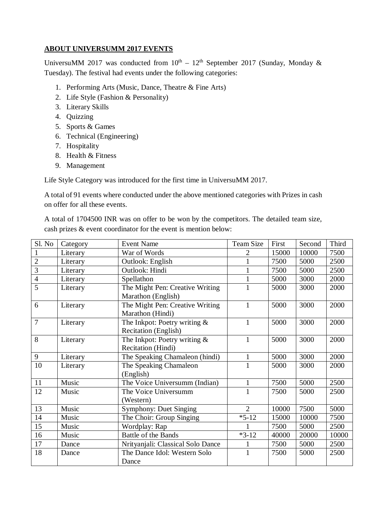### **ABOUT UNIVERSUMM 2017 EVENTS**

UniversuMM 2017 was conducted from  $10^{th} - 12^{th}$  September 2017 (Sunday, Monday & Tuesday). The festival had events under the following categories:

- 1. Performing Arts (Music, Dance, Theatre & Fine Arts)
- 2. Life Style (Fashion & Personality)
- 3. Literary Skills
- 4. Quizzing
- 5. Sports & Games
- 6. Technical (Engineering)
- 7. Hospitality
- 8. Health & Fitness
- 9. Management

Life Style Category was introduced for the first time in UniversuMM 2017.

A total of 91 events where conducted under the above mentioned categories with Prizes in cash on offer for all these events.

A total of 1704500 INR was on offer to be won by the competitors. The detailed team size, cash prizes & event coordinator for the event is mention below:

| Sl. No         | Category | <b>Event Name</b>                 | <b>Team Size</b> | First | Second | Third |
|----------------|----------|-----------------------------------|------------------|-------|--------|-------|
| $\mathbf{1}$   | Literary | War of Words                      | $\overline{2}$   | 15000 | 10000  | 7500  |
| $\overline{2}$ | Literary | <b>Outlook: English</b>           |                  | 7500  | 5000   | 2500  |
| $\overline{3}$ | Literary | Outlook: Hindi                    |                  | 7500  | 5000   | 2500  |
| $\overline{4}$ | Literary | Spellathon                        |                  | 5000  | 3000   | 2000  |
| 5              | Literary | The Might Pen: Creative Writing   |                  | 5000  | 3000   | 2000  |
|                |          | Marathon (English)                |                  |       |        |       |
| 6              | Literary | The Might Pen: Creative Writing   | $\mathbf{1}$     | 5000  | 3000   | 2000  |
|                |          | Marathon (Hindi)                  |                  |       |        |       |
| $\overline{7}$ | Literary | The Inkpot: Poetry writing $&$    | $\mathbf{1}$     | 5000  | 3000   | 2000  |
|                |          | Recitation (English)              |                  |       |        |       |
| 8              | Literary | The Inkpot: Poetry writing $&$    | $\mathbf{1}$     | 5000  | 3000   | 2000  |
|                |          | Recitation (Hindi)                |                  |       |        |       |
| 9              | Literary | The Speaking Chamaleon (hindi)    | $\mathbf{1}$     | 5000  | 3000   | 2000  |
| 10             | Literary | The Speaking Chamaleon            | $\mathbf{1}$     | 5000  | 3000   | 2000  |
|                |          | (English)                         |                  |       |        |       |
| 11             | Music    | The Voice Universumm (Indian)     | $\mathbf{1}$     | 7500  | 5000   | 2500  |
| 12             | Music    | The Voice Universumm              | 1                | 7500  | 5000   | 2500  |
|                |          | (Western)                         |                  |       |        |       |
| 13             | Music    | <b>Symphony: Duet Singing</b>     | $\overline{2}$   | 10000 | 7500   | 5000  |
| 14             | Music    | The Choir: Group Singing          | $*5-12$          | 15000 | 10000  | 7500  |
| 15             | Music    | Wordplay: Rap                     |                  | 7500  | 5000   | 2500  |
| 16             | Music    | Battle of the Bands               | $*3-12$          | 40000 | 20000  | 10000 |
| 17             | Dance    | Nrityanjali: Classical Solo Dance | $\mathbf{1}$     | 7500  | 5000   | 2500  |
| 18             | Dance    | The Dance Idol: Western Solo      | $\mathbf{1}$     | 7500  | 5000   | 2500  |
|                |          | Dance                             |                  |       |        |       |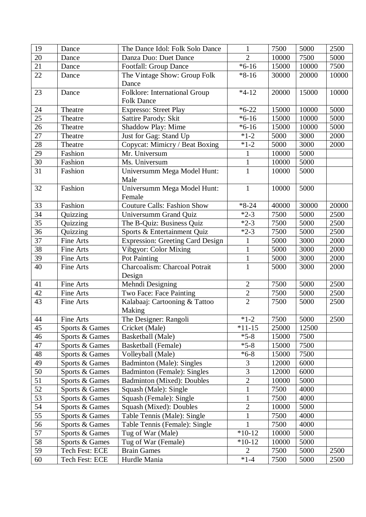| 19              | Dance            | The Dance Idol: Folk Solo Dance         | 1              | 7500  | 5000  | 2500  |
|-----------------|------------------|-----------------------------------------|----------------|-------|-------|-------|
| 20              | Dance            | Danza Duo: Duet Dance                   | $\overline{2}$ | 10000 | 7500  | 5000  |
| 21              | Dance            | <b>Footfall: Group Dance</b>            | $*6-16$        | 15000 | 10000 | 7500  |
| 22              | Dance            | The Vintage Show: Group Folk            | $*8-16$        | 30000 | 20000 | 10000 |
|                 |                  | Dance                                   |                |       |       |       |
| 23              | Dance            | Folklore: International Group           | $*4-12$        | 20000 | 15000 | 10000 |
|                 |                  | <b>Folk Dance</b>                       |                |       |       |       |
| 24              | Theatre          | <b>Expresso: Street Play</b>            | $*6-22$        | 15000 | 10000 | 5000  |
| 25              | Theatre          | Sattire Parody: Skit                    | $*6-16$        | 15000 | 10000 | 5000  |
| 26              | Theatre          | Shaddow Play: Mime                      | $*6-16$        | 15000 | 10000 | 5000  |
| 27              | Theatre          | Just for Gag: Stand Up                  | $*1-2$         | 5000  | 3000  | 2000  |
| 28              | Theatre          | Copycat: Mimicry / Beat Boxing          | $*1-2$         | 5000  | 3000  | 2000  |
| 29              | Fashion          | Mr. Universum                           | $\mathbf{1}$   | 10000 | 5000  |       |
| 30              | Fashion          | Ms. Universum                           | $\mathbf{1}$   | 10000 | 5000  |       |
| 31              | Fashion          | Universumm Mega Model Hunt:             | $\mathbf{1}$   | 10000 | 5000  |       |
|                 |                  | Male                                    |                |       |       |       |
| 32              | Fashion          | Universumm Mega Model Hunt:             | $\mathbf{1}$   | 10000 | 5000  |       |
|                 |                  | Female                                  |                |       |       |       |
| 33              | Fashion          | <b>Couture Calls: Fashion Show</b>      | $*8-24$        | 40000 | 30000 | 20000 |
| 34              | Quizzing         | Universumm Grand Quiz                   | $*2-3$         | 7500  | 5000  | 2500  |
| 35              | Quizzing         | The B-Quiz: Business Quiz               | $*2-3$         | 7500  | 5000  | 2500  |
| $\overline{36}$ | Quizzing         | Sports & Entertainment Quiz             | $*2-3$         | 7500  | 5000  | 2500  |
| 37              | Fine Arts        | <b>Expression: Greeting Card Design</b> | $\mathbf 1$    | 5000  | 3000  | 2000  |
| 38              | Fine Arts        | Vibgyor: Color Mixing                   | $\mathbf{1}$   | 5000  | 3000  | 2000  |
| 39              | Fine Arts        | Pot Painting                            | $\mathbf{1}$   | 5000  | 3000  | 2000  |
| 40              | Fine Arts        | Charcoalism: Charcoal Potrait           | $\overline{1}$ | 5000  | 3000  | 2000  |
|                 |                  | Design                                  |                |       |       |       |
| 41              | <b>Fine Arts</b> | Mehndi Designing                        | $\overline{2}$ | 7500  | 5000  | 2500  |
| 42              | Fine Arts        | Two Face: Face Painting                 | $\mathbf{2}$   | 7500  | 5000  | 2500  |
| 43              | Fine Arts        | Kalabaaj: Cartooning & Tattoo           | $\overline{2}$ | 7500  | 5000  | 2500  |
|                 |                  | Making                                  |                |       |       |       |
| 44              | Fine Arts        | The Designer: Rangoli                   | $*1-2$         | 7500  | 5000  | 2500  |
| 45              | Sports & Games   | Cricket (Male)                          | $*11 - 15$     | 25000 | 12500 |       |
| 46              | Sports & Games   | Basketball (Male)                       | $*5-8$         | 15000 | 7500  |       |
| 47              | Sports & Games   | <b>Basketball</b> (Female)              | $*5-8$         | 15000 | 7500  |       |
| 48              | Sports & Games   | Volleyball (Male)                       | $*6-8$         | 15000 | 7500  |       |
| 49              | Sports & Games   | <b>Badminton (Male): Singles</b>        | 3              | 12000 | 6000  |       |
| 50              | Sports & Games   | <b>Badminton (Female): Singles</b>      | 3              | 12000 | 6000  |       |
| 51              | Sports & Games   | <b>Badminton (Mixed): Doubles</b>       | $\overline{2}$ | 10000 | 5000  |       |
| 52              | Sports & Games   | Squash (Male): Single                   | $\mathbf{1}$   | 7500  | 4000  |       |
| 53              | Sports & Games   | Squash (Female): Single                 | $\mathbf{1}$   | 7500  | 4000  |       |
| 54              | Sports & Games   | Squash (Mixed): Doubles                 | $\overline{2}$ | 10000 | 5000  |       |
| 55              | Sports & Games   | Table Tennis (Male): Single             | $\mathbf{1}$   | 7500  | 4000  |       |
| 56              | Sports & Games   | Table Tennis (Female): Single           | 1              | 7500  | 4000  |       |
| 57              | Sports & Games   | Tug of War (Male)                       | $*10-12$       | 10000 | 5000  |       |
| 58              | Sports & Games   | Tug of War (Female)                     | $*10-12$       | 10000 | 5000  |       |
| 59              | Tech Fest: ECE   | <b>Brain Games</b>                      | $\overline{2}$ | 7500  | 5000  | 2500  |
| 60              | Tech Fest: ECE   | Hurdle Mania                            | $*1-4$         | 7500  | 5000  | 2500  |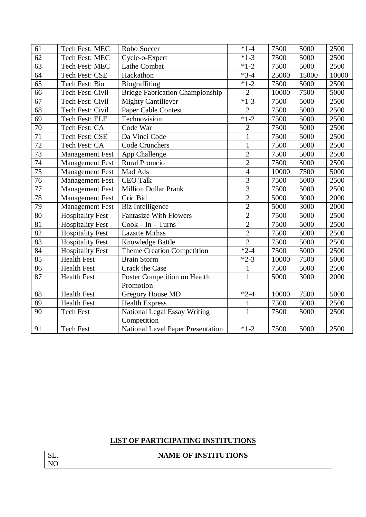| 61              | Tech Fest: MEC          | Robo Soccer                              | $*1-4$                  | 7500  | 5000  | 2500  |
|-----------------|-------------------------|------------------------------------------|-------------------------|-------|-------|-------|
| 62              | Tech Fest: MEC          | Cycle-o-Expert                           | $*1-3$                  | 7500  | 5000  | 2500  |
| 63              | Tech Fest: MEC          | Lathe Combat                             | $*1-2$                  | 7500  | 5000  | 2500  |
| 64              | Tech Fest: CSE          | Hackathon                                | $*3-4$                  | 25000 | 15000 | 10000 |
| 65              | Tech Fest: Bio          | Biograffiting                            | $*1-2$                  | 7500  | 5000  | 2500  |
| 66              | Tech Fest: Civil        | <b>Bridge Fabrication Championship</b>   | $\overline{2}$          | 10000 | 7500  | 5000  |
| 67              | Tech Fest: Civil        | <b>Mighty Cantiliever</b>                | $*1-3$                  | 7500  | 5000  | 2500  |
| 68              | Tech Fest: Civil        | Paper Cable Contest                      | $\overline{2}$          | 7500  | 5000  | 2500  |
| 69              | Tech Fest: ELE          | Technovision                             | $*1-2$                  | 7500  | 5000  | 2500  |
| 70              | Tech Fest: CA           | Code War                                 | $\overline{2}$          | 7500  | 5000  | 2500  |
| 71              | Tech Fest: CSE          | Da Vinci Code                            | $\mathbf{1}$            | 7500  | 5000  | 2500  |
| 72              | Tech Fest: CA           | Code Crunchers                           | $\mathbf{1}$            | 7500  | 5000  | 2500  |
| $\overline{73}$ | <b>Management Fest</b>  | App Challenge                            | $\overline{2}$          | 7500  | 5000  | 2500  |
| 74              | <b>Management Fest</b>  | <b>Rural Promcio</b>                     | $\overline{2}$          | 7500  | 5000  | 2500  |
| 75              | <b>Management Fest</b>  | Mad Ads                                  | $\overline{4}$          | 10000 | 7500  | 5000  |
| 76              | <b>Management Fest</b>  | <b>CEO Talk</b>                          | $\overline{\mathbf{3}}$ | 7500  | 5000  | 2500  |
| $\overline{77}$ | <b>Management Fest</b>  | Million Dollar Prank                     | $\overline{3}$          | 7500  | 5000  | 2500  |
| 78              | <b>Management Fest</b>  | Cric Bid                                 | $\overline{2}$          | 5000  | 3000  | 2000  |
| 79              | <b>Management Fest</b>  | <b>Biz Intelligence</b>                  | $\overline{2}$          | 5000  | 3000  | 2000  |
| 80              | <b>Hospitality Fest</b> | <b>Fantasize With Flowers</b>            | $\overline{2}$          | 7500  | 5000  | 2500  |
| 81              | <b>Hospitality Fest</b> | $Cook - In - Turns$                      | $\overline{2}$          | 7500  | 5000  | 2500  |
| $\overline{82}$ | <b>Hospitality Fest</b> | <b>Lazatte Mithas</b>                    | $\overline{2}$          | 7500  | 5000  | 2500  |
| 83              | <b>Hospitality Fest</b> | Knowledge Battle                         | $\overline{2}$          | 7500  | 5000  | 2500  |
| 84              | <b>Hospitality Fest</b> | Theme Creation Competition               | $*2-4$                  | 7500  | 5000  | 2500  |
| 85              | <b>Health Fest</b>      | <b>Brain Storm</b>                       | $*2-3$                  | 10000 | 7500  | 5000  |
| 86              | <b>Health Fest</b>      | <b>Crack the Case</b>                    | $\mathbf{1}$            | 7500  | 5000  | 2500  |
| 87              | <b>Health Fest</b>      | Poster Competition on Health             | $\mathbf{1}$            | 5000  | 3000  | 2000  |
|                 |                         | Promotion                                |                         |       |       |       |
| 88              | <b>Health Fest</b>      | <b>Gregory House MD</b>                  | $*2-4$                  | 10000 | 7500  | 5000  |
| 89              | <b>Health Fest</b>      | <b>Health Express</b>                    | $\mathbf{1}$            | 7500  | 5000  | 2500  |
| 90              | <b>Tech Fest</b>        | <b>National Legal Essay Writing</b>      | $\overline{1}$          | 7500  | 5000  | 2500  |
|                 |                         | Competition                              |                         |       |       |       |
| 91              | <b>Tech Fest</b>        | <b>National Level Paper Presentation</b> | $*1-2$                  | 7500  | 5000  | 2500  |

## **LIST OF PARTICIPATING INSTITUTIONS**

| SL.            |  |
|----------------|--|
| N <sub>O</sub> |  |

## **NAME OF INSTITUTIONS**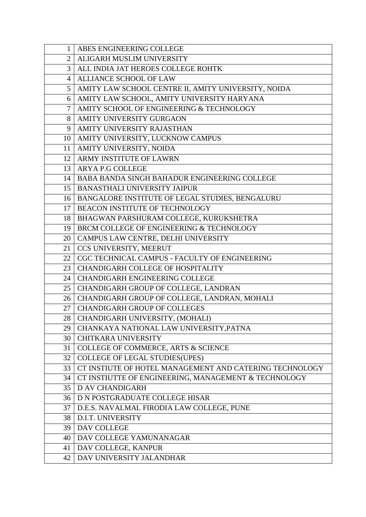| $\mathbf{1}$   | ABES ENGINEERING COLLEGE                                |
|----------------|---------------------------------------------------------|
| $\overline{2}$ | ALIGARH MUSLIM UNIVERSITY                               |
| 3              | ALL INDIA JAT HEROES COLLEGE ROHTK                      |
| 4              | ALLIANCE SCHOOL OF LAW                                  |
| 5              | AMITY LAW SCHOOL CENTRE II, AMITY UNIVERSITY, NOIDA     |
| 6              | AMITY LAW SCHOOL, AMITY UNIVERSITY HARYANA              |
| $\tau$         | AMITY SCHOOL OF ENGINEERING & TECHNOLOGY                |
| 8              | AMITY UNIVERSITY GURGAON                                |
| 9              | AMITY UNIVERSITY RAJASTHAN                              |
| 10             | AMITY UNIVERSITY, LUCKNOW CAMPUS                        |
| 11             | AMITY UNIVERSITY, NOIDA                                 |
| 12             | ARMY INSTITUTE OF LAWRN                                 |
|                | 13 ARYA P.G COLLEGE                                     |
| 14             | BABA BANDA SINGH BAHADUR ENGINEERING COLLEGE            |
| 15             | <b>BANASTHALI UNIVERSITY JAIPUR</b>                     |
| 16             | BANGALORE INSTITUTE OF LEGAL STUDIES, BENGALURU         |
| 17             | BEACON INSTITUTE OF TECHNOLOGY                          |
| 18             | BHAGWAN PARSHURAM COLLEGE, KURUKSHETRA                  |
| 19             | BRCM COLLEGE OF ENGINEERING & TECHNOLOGY                |
| 20             | CAMPUS LAW CENTRE, DELHI UNIVERSITY                     |
| 21             | CCS UNIVERSITY, MEERUT                                  |
| 22             | CGC TECHNICAL CAMPUS - FACULTY OF ENGINEERING           |
| 23             | CHANDIGARH COLLEGE OF HOSPITALITY                       |
| 24             | <b>CHANDIGARH ENGINEERING COLLEGE</b>                   |
|                | 25   CHANDIGARH GROUP OF COLLEGE, LANDRAN               |
| 26             | CHANDIGARH GROUP OF COLLEGE, LANDRAN, MOHALI            |
| 27             | <b>CHANDIGARH GROUP OF COLLEGES</b>                     |
| 28             | CHANDIGARH UNIVERSITY, (MOHALI)                         |
| 29             | CHANKAYA NATIONAL LAW UNIVERSITY, PATNA                 |
| 30             | <b>CHITKARA UNIVERSITY</b>                              |
| 31             | COLLEGE OF COMMERCE, ARTS & SCIENCE                     |
| 32             | <b>COLLEGE OF LEGAL STUDIES(UPES)</b>                   |
| 33             | CT INSTIUTE OF HOTEL MANAGEMENT AND CATERING TECHNOLOGY |
| 34             | CT INSTIUTTE OF ENGINEERING, MANAGEMENT & TECHNOLOGY    |
| 35             | <b>D AV CHANDIGARH</b>                                  |
| 36             | D N POSTGRADUATE COLLEGE HISAR                          |
| 37             | D.E.S. NAVALMAL FIRODIA LAW COLLEGE, PUNE               |
| 38             | D.I.T. UNIVERSITY                                       |
| 39             | DAV COLLEGE                                             |
| 40             | DAV COLLEGE YAMUNANAGAR                                 |
| 41             | DAV COLLEGE, KANPUR                                     |
| 42             | DAV UNIVERSITY JALANDHAR                                |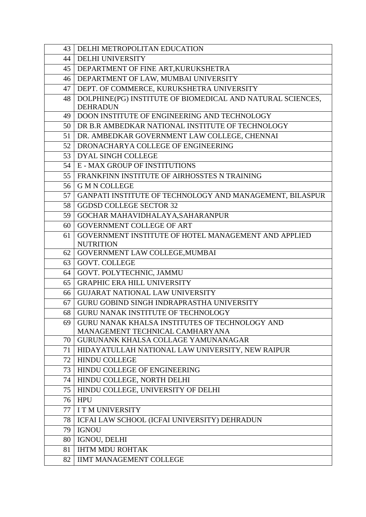| 43 | DELHI METROPOLITAN EDUCATION                               |
|----|------------------------------------------------------------|
| 44 | <b>DELHI UNIVERSITY</b>                                    |
| 45 | DEPARTMENT OF FINE ART, KURUKSHETRA                        |
| 46 | DEPARTMENT OF LAW, MUMBAI UNIVERSITY                       |
| 47 | DEPT. OF COMMERCE, KURUKSHETRA UNIVERSITY                  |
| 48 | DOLPHINE(PG) INSTITUTE OF BIOMEDICAL AND NATURAL SCIENCES, |
|    | <b>DEHRADUN</b>                                            |
| 49 | DOON INSTITUTE OF ENGINEERING AND TECHNOLOGY               |
| 50 | DR B.R AMBEDKAR NATIONAL INSTITUTE OF TECHNOLOGY           |
| 51 | DR. AMBEDKAR GOVERNMENT LAW COLLEGE, CHENNAI               |
| 52 | DRONACHARYA COLLEGE OF ENGINEERING                         |
| 53 | DYAL SINGH COLLEGE                                         |
| 54 | <b>E-MAX GROUP OF INSTITUTIONS</b>                         |
| 55 | <b>FRANKFINN INSTITUTE OF AIRHOSSTES N TRAINING</b>        |
| 56 | <b>G M N COLLEGE</b>                                       |
| 57 | GANPATI INSTITUTE OF TECHNOLOGY AND MANAGEMENT, BILASPUR   |
| 58 | <b>GGDSD COLLEGE SECTOR 32</b>                             |
| 59 | GOCHAR MAHAVIDHALAYA, SAHARANPUR                           |
| 60 | <b>GOVERNMENT COLLEGE OF ART</b>                           |
| 61 | GOVERNMENT INSTITUTE OF HOTEL MANAGEMENT AND APPLIED       |
|    | <b>NUTRITION</b>                                           |
| 62 | GOVERNMENT LAW COLLEGE, MUMBAI                             |
| 63 | <b>GOVT. COLLEGE</b>                                       |
| 64 | GOVT. POLYTECHNIC, JAMMU                                   |
| 65 | <b>GRAPHIC ERA HILL UNIVERSITY</b>                         |
| 66 | <b>GUJARAT NATIONAL LAW UNIVERSITY</b>                     |
| 67 | GURU GOBIND SINGH INDRAPRASTHA UNIVERSITY                  |
| 68 | GURU NANAK INSTITUTE OF TECHNOLOGY                         |
| 69 | GURU NANAK KHALSA INSTITUTES OF TECHNOLOGY AND             |
|    | MANAGEMENT TECHNICAL CAMHARYANA                            |
| 70 | GURUNANK KHALSA COLLAGE YAMUNANAGAR                        |
| 71 | HIDAYATULLAH NATIONAL LAW UNIVERSITY, NEW RAIPUR           |
| 72 | <b>HINDU COLLEGE</b>                                       |
| 73 | HINDU COLLEGE OF ENGINEERING                               |
| 74 | HINDU COLLEGE, NORTH DELHI                                 |
| 75 | HINDU COLLEGE, UNIVERSITY OF DELHI                         |
| 76 | <b>HPU</b>                                                 |
| 77 | I T M UNIVERSITY                                           |
| 78 | ICFAI LAW SCHOOL (ICFAI UNIVERSITY) DEHRADUN               |
| 79 | <b>IGNOU</b>                                               |
| 80 | IGNOU, DELHI                                               |
| 81 | <b>IHTM MDU ROHTAK</b>                                     |
| 82 | <b>IIMT MANAGEMENT COLLEGE</b>                             |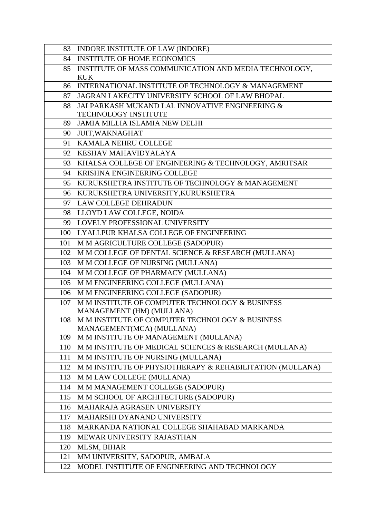| 83  | INDORE INSTITUTE OF LAW (INDORE)                          |
|-----|-----------------------------------------------------------|
| 84  | <b>INSTITUTE OF HOME ECONOMICS</b>                        |
| 85  | INSTITUTE OF MASS COMMUNICATION AND MEDIA TECHNOLOGY,     |
|     | <b>KUK</b>                                                |
| 86  | INTERNATIONAL INSTITUTE OF TECHNOLOGY & MANAGEMENT        |
| 87  | JAGRAN LAKECITY UNIVERSITY SCHOOL OF LAW BHOPAL           |
| 88  | JAI PARKASH MUKAND LAL INNOVATIVE ENGINEERING &           |
|     | <b>TECHNOLOGY INSTITUTE</b>                               |
| 89  | <b>JAMIA MILLIA ISLAMIA NEW DELHI</b>                     |
| 90  | <b>JUIT, WAKNAGHAT</b>                                    |
| 91  | KAMALA NEHRU COLLEGE                                      |
| 92  | KESHAV MAHAVIDYALAYA                                      |
| 93  | KHALSA COLLEGE OF ENGINEERING & TECHNOLOGY, AMRITSAR      |
| 94  | KRISHNA ENGINEERING COLLEGE                               |
| 95  | KURUKSHETRA INSTITUTE OF TECHNOLOGY & MANAGEMENT          |
| 96  | KURUKSHETRA UNIVERSITY, KURUKSHETRA                       |
| 97  | <b>LAW COLLEGE DEHRADUN</b>                               |
| 98  | LLOYD LAW COLLEGE, NOIDA                                  |
| 99  | LOVELY PROFESSIONAL UNIVERSITY                            |
| 100 | LYALLPUR KHALSA COLLEGE OF ENGINEERING                    |
| 101 | M M AGRICULTURE COLLEGE (SADOPUR)                         |
| 102 | M M COLLEGE OF DENTAL SCIENCE & RESEARCH (MULLANA)        |
| 103 | M M COLLEGE OF NURSING (MULLANA)                          |
| 104 | M M COLLEGE OF PHARMACY (MULLANA)                         |
| 105 | M M ENGINEERING COLLEGE (MULLANA)                         |
| 106 | M M ENGINEERING COLLEGE (SADOPUR)                         |
| 107 | M M INSTITUTE OF COMPUTER TECHNOLOGY & BUSINESS           |
|     | MANAGEMENT (HM) (MULLANA)                                 |
| 108 | M M INSTITUTE OF COMPUTER TECHNOLOGY & BUSINESS           |
|     | MANAGEMENT(MCA) (MULLANA)                                 |
| 109 | M M INSTITUTE OF MANAGEMENT (MULLANA)                     |
| 110 | M M INSTITUTE OF MEDICAL SCIENCES & RESEARCH (MULLANA)    |
| 111 | M M INSTITUTE OF NURSING (MULLANA)                        |
| 112 | M M INSTITUTE OF PHYSIOTHERAPY & REHABILITATION (MULLANA) |
| 113 | M M LAW COLLEGE (MULLANA)                                 |
| 114 | M M MANAGEMENT COLLEGE (SADOPUR)                          |
| 115 | M M SCHOOL OF ARCHITECTURE (SADOPUR)                      |
| 116 | MAHARAJA AGRASEN UNIVERSITY                               |
| 117 | MAHARSHI DYANAND UNIVERSITY                               |
| 118 | MARKANDA NATIONAL COLLEGE SHAHABAD MARKANDA               |
| 119 | MEWAR UNIVERSITY RAJASTHAN                                |
| 120 | MLSM, BIHAR                                               |
| 121 | MM UNIVERSITY, SADOPUR, AMBALA                            |
| 122 | MODEL INSTITUTE OF ENGINEERING AND TECHNOLOGY             |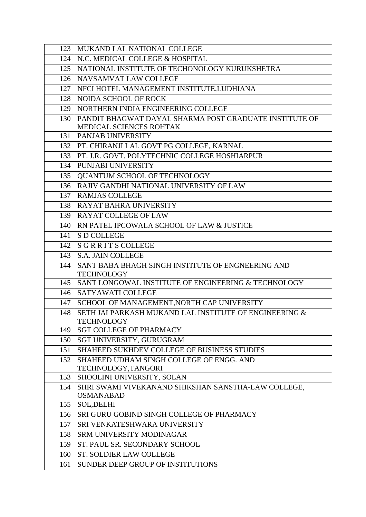| 123 | MUKAND LAL NATIONAL COLLEGE                            |
|-----|--------------------------------------------------------|
| 124 | N.C. MEDICAL COLLEGE & HOSPITAL                        |
| 125 | NATIONAL INSTITUTE OF TECHONOLOGY KURUKSHETRA          |
| 126 | NAVSAMVAT LAW COLLEGE                                  |
| 127 | NFCI HOTEL MANAGEMENT INSTITUTE, LUDHIANA              |
| 128 | NOIDA SCHOOL OF ROCK                                   |
| 129 | NORTHERN INDIA ENGINEERING COLLEGE                     |
| 130 | PANDIT BHAGWAT DAYAL SHARMA POST GRADUATE INSTITUTE OF |
|     | MEDICAL SCIENCES ROHTAK                                |
| 131 | PANJAB UNIVERSITY                                      |
| 132 | PT. CHIRANJI LAL GOVT PG COLLEGE, KARNAL               |
| 133 | PT. J.R. GOVT. POLYTECHNIC COLLEGE HOSHIARPUR          |
| 134 | PUNJABI UNIVERSITY                                     |
| 135 | QUANTUM SCHOOL OF TECHNOLOGY                           |
| 136 | RAJIV GANDHI NATIONAL UNIVERSITY OF LAW                |
| 137 | <b>RAMJAS COLLEGE</b>                                  |
| 138 | <b>RAYAT BAHRA UNIVERSITY</b>                          |
| 139 | <b>RAYAT COLLEGE OF LAW</b>                            |
| 140 | RN PATEL IPCOWALA SCHOOL OF LAW & JUSTICE              |
| 141 | <b>S D COLLEGE</b>                                     |
| 142 | <b>SGRRITS COLLEGE</b>                                 |
| 143 | <b>S.A. JAIN COLLEGE</b>                               |
| 144 | SANT BABA BHAGH SINGH INSTITUTE OF ENGNEERING AND      |
|     | <b>TECHNOLOGY</b>                                      |
| 145 | SANT LONGOWAL INSTITUTE OF ENGINEERING & TECHNOLOGY    |
| 146 | <b>SATYAWATI COLLEGE</b>                               |
| 147 | SCHOOL OF MANAGEMENT, NORTH CAP UNIVERSITY             |
| 148 | SETH JAI PARKASH MUKAND LAL INSTITUTE OF ENGINEERING & |
| 149 | TECHNOLOGY<br><b>SGT COLLEGE OF PHARMACY</b>           |
| 150 | SGT UNIVERSITY, GURUGRAM                               |
| 151 | SHAHEED SUKHDEV COLLEGE OF BUSINESS STUDIES            |
| 152 | SHAHEED UDHAM SINGH COLLEGE OF ENGG. AND               |
|     | TECHNOLOGY, TANGORI                                    |
| 153 | SHOOLINI UNIVERSITY, SOLAN                             |
| 154 | SHRI SWAMI VIVEKANAND SHIKSHAN SANSTHA-LAW COLLEGE,    |
|     | <b>OSMANABAD</b>                                       |
| 155 | <b>SOL, DELHI</b>                                      |
| 156 | SRI GURU GOBIND SINGH COLLEGE OF PHARMACY              |
| 157 | SRI VENKATESHWARA UNIVERSITY                           |
| 158 | SRM UNIVERSITY MODINAGAR                               |
| 159 | ST. PAUL SR. SECONDARY SCHOOL                          |
| 160 | <b>ST. SOLDIER LAW COLLEGE</b>                         |
| 161 | SUNDER DEEP GROUP OF INSTITUTIONS                      |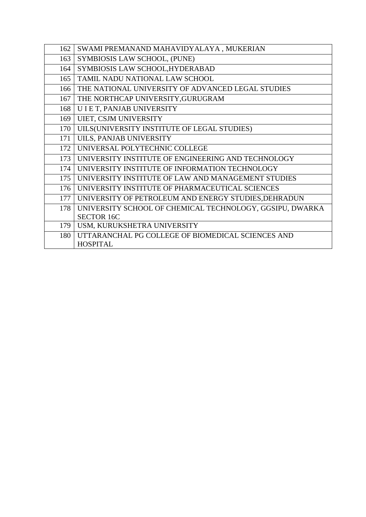| 162 | SWAMI PREMANAND MAHAVIDYALAYA, MUKERIAN                  |
|-----|----------------------------------------------------------|
| 163 | SYMBIOSIS LAW SCHOOL, (PUNE)                             |
| 164 | SYMBIOSIS LAW SCHOOL, HYDERABAD                          |
| 165 | TAMIL NADU NATIONAL LAW SCHOOL                           |
| 166 | THE NATIONAL UNIVERSITY OF ADVANCED LEGAL STUDIES        |
| 167 | THE NORTHCAP UNIVERSITY, GURUGRAM                        |
| 168 | U I E T, PANJAB UNIVERSITY                               |
| 169 | UIET, CSJM UNIVERSITY                                    |
| 170 | UILS(UNIVERSITY INSTITUTE OF LEGAL STUDIES)              |
| 171 | UILS, PANJAB UNIVERSITY                                  |
| 172 | UNIVERSAL POLYTECHNIC COLLEGE                            |
| 173 | UNIVERSITY INSTITUTE OF ENGINEERING AND TECHNOLOGY       |
| 174 | UNIVERSITY INSTITUTE OF INFORMATION TECHNOLOGY           |
| 175 | UNIVERSITY INSTITUTE OF LAW AND MANAGEMENT STUDIES       |
| 176 | UNIVERSITY INSTITUTE OF PHARMACEUTICAL SCIENCES          |
| 177 | UNIVERSITY OF PETROLEUM AND ENERGY STUDIES, DEHRADUN     |
| 178 | UNIVERSITY SCHOOL OF CHEMICAL TECHNOLOGY, GGSIPU, DWARKA |
|     | <b>SECTOR 16C</b>                                        |
| 179 | USM, KURUKSHETRA UNIVERSITY                              |
| 180 | UTTARANCHAL PG COLLEGE OF BIOMEDICAL SCIENCES AND        |
|     | <b>HOSPITAL</b>                                          |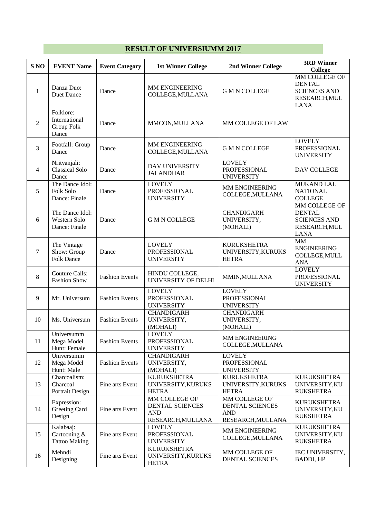# **RESULT OF UNIVERSIUMM 2017**

| S <sub>NO</sub> | <b>EVENT Name</b>                                 | <b>Event Category</b> | <b>1st Winner College</b>                                           | 2nd Winner College                                                  | <b>3RD Winner</b><br><b>College</b>                                                   |
|-----------------|---------------------------------------------------|-----------------------|---------------------------------------------------------------------|---------------------------------------------------------------------|---------------------------------------------------------------------------------------|
| $\mathbf{1}$    | Danza Duo:<br>Duet Dance                          | Dance                 | MM ENGINEERING<br>COLLEGE, MULLANA                                  | <b>G M N COLLEGE</b>                                                | MM COLLEGE OF<br><b>DENTAL</b><br><b>SCIENCES AND</b><br>RESEARCH, MUL<br><b>LANA</b> |
| $\overline{2}$  | Folklore:<br>International<br>Group Folk<br>Dance | Dance                 | MMCON, MULLANA                                                      | MM COLLEGE OF LAW                                                   |                                                                                       |
| 3               | Footfall: Group<br>Dance                          | Dance                 | MM ENGINEERING<br>COLLEGE, MULLANA                                  | <b>G M N COLLEGE</b>                                                | <b>LOVELY</b><br>PROFESSIONAL<br><b>UNIVERSITY</b>                                    |
| 4               | Nrityanjali:<br><b>Classical Solo</b><br>Dance    | Dance                 | DAV UNIVERSITY<br><b>JALANDHAR</b>                                  | <b>LOVELY</b><br><b>PROFESSIONAL</b><br><b>UNIVERSITY</b>           | DAV COLLEGE                                                                           |
| 5               | The Dance Idol:<br>Folk Solo<br>Dance: Finale     | Dance                 | <b>LOVELY</b><br>PROFESSIONAL<br><b>UNIVERSITY</b>                  | MM ENGINEERING<br>COLLEGE, MULLANA                                  | <b>MUKAND LAL</b><br><b>NATIONAL</b><br><b>COLLEGE</b>                                |
| 6               | The Dance Idol:<br>Western Solo<br>Dance: Finale  | Dance                 | <b>G M N COLLEGE</b>                                                | <b>CHANDIGARH</b><br>UNIVERSITY,<br>(MOHALI)                        | MM COLLEGE OF<br><b>DENTAL</b><br><b>SCIENCES AND</b><br>RESEARCH, MUL<br><b>LANA</b> |
| 7               | The Vintage<br>Show: Group<br><b>Folk Dance</b>   | Dance                 | <b>LOVELY</b><br><b>PROFESSIONAL</b><br><b>UNIVERSITY</b>           | <b>KURUKSHETRA</b><br>UNIVERSITY, KURUKS<br><b>HETRA</b>            | MM<br><b>ENGINEERING</b><br>COLLEGE, MULL<br><b>ANA</b>                               |
| 8               | <b>Couture Calls:</b><br><b>Fashion Show</b>      | <b>Fashion Events</b> | HINDU COLLEGE,<br>UNIVERSITY OF DELHI                               | MMIN, MULLANA                                                       | <b>LOVELY</b><br>PROFESSIONAL<br><b>UNIVERSITY</b>                                    |
| 9               | Mr. Universum                                     | <b>Fashion Events</b> | <b>LOVELY</b><br>PROFESSIONAL<br><b>UNIVERSITY</b>                  | <b>LOVELY</b><br>PROFESSIONAL<br><b>UNIVERSITY</b>                  |                                                                                       |
| 10              | Ms. Universum                                     | <b>Fashion Events</b> | <b>CHANDIGARH</b><br>UNIVERSITY,<br>(MOHALI)                        | <b>CHANDIGARH</b><br>UNIVERSITY,<br>(MOHALI)                        |                                                                                       |
| 11              | Universumm<br>Mega Model<br>Hunt: Female          | <b>Fashion Events</b> | <b>LOVELY</b><br>PROFESSIONAL<br><b>UNIVERSITY</b>                  | MM ENGINEERING<br>COLLEGE, MULLANA                                  |                                                                                       |
| 12              | Universumm<br>Mega Model<br>Hunt: Male            | <b>Fashion Events</b> | <b>CHANDIGARH</b><br>UNIVERSITY,<br>(MOHALI)                        | <b>LOVELY</b><br>PROFESSIONAL<br><b>UNIVERSITY</b>                  |                                                                                       |
| 13              | Charcoalism:<br>Charcoal<br>Portrait Design       | Fine arts Event       | <b>KURUKSHETRA</b><br>UNIVERSITY, KURUKS<br><b>HETRA</b>            | <b>KURUKSHETRA</b><br>UNIVERSITY, KURUKS<br><b>HETRA</b>            | <b>KURUKSHETRA</b><br>UNIVERSITY, KU<br><b>RUKSHETRA</b>                              |
| 14              | Expression:<br>Greeting Card<br>Design            | Fine arts Event       | MM COLLEGE OF<br>DENTAL SCIENCES<br><b>AND</b><br>RESEARCH, MULLANA | MM COLLEGE OF<br>DENTAL SCIENCES<br><b>AND</b><br>RESEARCH, MULLANA | <b>KURUKSHETRA</b><br>UNIVERSITY, KU<br><b>RUKSHETRA</b>                              |
| 15              | Kalabaaj:<br>Cartooning &<br><b>Tattoo Making</b> | Fine arts Event       | <b>LOVELY</b><br>PROFESSIONAL<br><b>UNIVERSITY</b>                  | MM ENGINEERING<br>COLLEGE, MULLANA                                  | <b>KURUKSHETRA</b><br>UNIVERSITY, KU<br><b>RUKSHETRA</b>                              |
| 16              | Mehndi<br>Designing                               | Fine arts Event       | <b>KURUKSHETRA</b><br>UNIVERSITY, KURUKS<br><b>HETRA</b>            | MM COLLEGE OF<br>DENTAL SCIENCES                                    | IEC UNIVERSITY,<br><b>BADDI, HP</b>                                                   |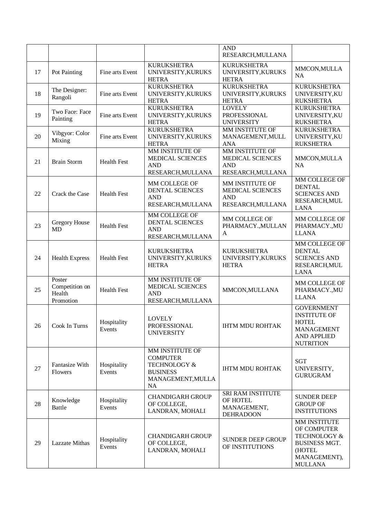|    |                                                 |                       |                                                                                                  | <b>AND</b><br>RESEARCH, MULLANA                                         |                                                                                                                            |
|----|-------------------------------------------------|-----------------------|--------------------------------------------------------------------------------------------------|-------------------------------------------------------------------------|----------------------------------------------------------------------------------------------------------------------------|
| 17 | Pot Painting                                    | Fine arts Event       | <b>KURUKSHETRA</b><br>UNIVERSITY, KURUKS<br><b>HETRA</b>                                         | <b>KURUKSHETRA</b><br>UNIVERSITY, KURUKS<br><b>HETRA</b>                | MMCON, MULLA<br><b>NA</b>                                                                                                  |
| 18 | The Designer:<br>Rangoli                        | Fine arts Event       | <b>KURUKSHETRA</b><br>UNIVERSITY, KURUKS<br><b>HETRA</b>                                         | <b>KURUKSHETRA</b><br>UNIVERSITY, KURUKS<br><b>HETRA</b>                | <b>KURUKSHETRA</b><br>UNIVERSITY, KU<br><b>RUKSHETRA</b>                                                                   |
| 19 | Two Face: Face<br>Painting                      | Fine arts Event       | <b>KURUKSHETRA</b><br>UNIVERSITY, KURUKS<br><b>HETRA</b>                                         | <b>LOVELY</b><br><b>PROFESSIONAL</b><br><b>UNIVERSITY</b>               | <b>KURUKSHETRA</b><br>UNIVERSITY, KU<br><b>RUKSHETRA</b>                                                                   |
| 20 | Vibgyor: Color<br>Mixing                        | Fine arts Event       | <b>KURUKSHETRA</b><br>UNIVERSITY, KURUKS<br><b>HETRA</b>                                         | MM INSTITUTE OF<br>MANAGEMENT, MULL<br><b>ANA</b>                       | <b>KURUKSHETRA</b><br>UNIVERSITY, KU<br><b>RUKSHETRA</b>                                                                   |
| 21 | <b>Brain Storm</b>                              | <b>Health Fest</b>    | MM INSTITUTE OF<br>MEDICAL SCIENCES<br><b>AND</b><br>RESEARCH, MULLANA                           | MM INSTITUTE OF<br>MEDICAL SCIENCES<br><b>AND</b><br>RESEARCH, MULLANA  | MMCON, MULLA<br><b>NA</b>                                                                                                  |
| 22 | Crack the Case                                  | <b>Health Fest</b>    | MM COLLEGE OF<br>DENTAL SCIENCES<br><b>AND</b><br>RESEARCH, MULLANA                              | MM INSTITUTE OF<br>MEDICAL SCIENCES<br><b>AND</b><br>RESEARCH, MULLANA  | MM COLLEGE OF<br><b>DENTAL</b><br><b>SCIENCES AND</b><br>RESEARCH, MUL<br><b>LANA</b>                                      |
| 23 | Gregory House<br><b>MD</b>                      | <b>Health Fest</b>    | MM COLLEGE OF<br>DENTAL SCIENCES<br><b>AND</b><br>RESEARCH, MULLANA                              | MM COLLEGE OF<br>PHARMACY., MULLAN<br>$\mathbf{A}$                      | MM COLLEGE OF<br>PHARMACY., MU<br><b>LLANA</b>                                                                             |
| 24 | <b>Health Express</b>                           | <b>Health Fest</b>    | <b>KURUKSHETRA</b><br>UNIVERSITY, KURUKS<br><b>HETRA</b>                                         | <b>KURUKSHETRA</b><br>UNIVERSITY, KURUKS<br><b>HETRA</b>                | MM COLLEGE OF<br><b>DENTAL</b><br><b>SCIENCES AND</b><br>RESEARCH, MUL<br><b>LANA</b>                                      |
| 25 | Poster<br>Competition on<br>Health<br>Promotion | <b>Health Fest</b>    | MM INSTITUTE OF<br>MEDICAL SCIENCES<br><b>AND</b><br>RESEARCH, MULLANA                           | MMCON, MULLANA                                                          | MM COLLEGE OF<br>PHARMACY., MU<br><b>LLANA</b>                                                                             |
| 26 | Cook In Turns                                   | Hospitality<br>Events | <b>LOVELY</b><br>PROFESSIONAL<br><b>UNIVERSITY</b>                                               | <b>IHTM MDU ROHTAK</b>                                                  | <b>GOVERNMENT</b><br><b>INSTITUTE OF</b><br><b>HOTEL</b><br><b>MANAGEMENT</b><br><b>AND APPLIED</b><br><b>NUTRITION</b>    |
| 27 | Fantasize With<br>Flowers                       | Hospitality<br>Events | MM INSTITUTE OF<br><b>COMPUTER</b><br>TECHNOLOGY &<br><b>BUSINESS</b><br>MANAGEMENT, MULLA<br>NA | <b>IHTM MDU ROHTAK</b>                                                  | <b>SGT</b><br>UNIVERSITY,<br><b>GURUGRAM</b>                                                                               |
| 28 | Knowledge<br><b>Battle</b>                      | Hospitality<br>Events | <b>CHANDIGARH GROUP</b><br>OF COLLEGE,<br>LANDRAN, MOHALI                                        | <b>SRI RAM INSTITUTE</b><br>OF HOTEL<br>MANAGEMENT,<br><b>DEHRADOON</b> | <b>SUNDER DEEP</b><br><b>GROUP OF</b><br><b>INSTITUTIONS</b>                                                               |
| 29 | <b>Lazzate Mithas</b>                           | Hospitality<br>Events | <b>CHANDIGARH GROUP</b><br>OF COLLEGE,<br>LANDRAN, MOHALI                                        | <b>SUNDER DEEP GROUP</b><br>OF INSTITUTIONS                             | MM INSTITUTE<br>OF COMPUTER<br><b>TECHNOLOGY &amp;</b><br><b>BUSINESS MGT.</b><br>(HOTEL<br>MANAGEMENT),<br><b>MULLANA</b> |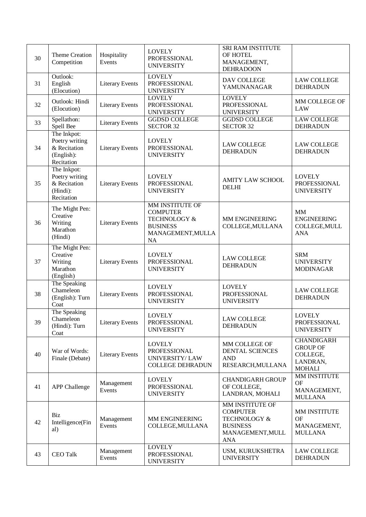| 30 | Theme Creation<br>Competition                                             | Hospitality<br>Events  | <b>LOVELY</b><br><b>PROFESSIONAL</b><br><b>UNIVERSITY</b>                                                                 | SRI RAM INSTITUTE<br>OF HOTEL<br>MANAGEMENT,<br><b>DEHRADOON</b>                                                   |                                                                               |
|----|---------------------------------------------------------------------------|------------------------|---------------------------------------------------------------------------------------------------------------------------|--------------------------------------------------------------------------------------------------------------------|-------------------------------------------------------------------------------|
| 31 | Outlook:<br>English<br>(Elocution)                                        | <b>Literary Events</b> | <b>LOVELY</b><br>PROFESSIONAL<br><b>UNIVERSITY</b>                                                                        | DAV COLLEGE<br>YAMUNANAGAR                                                                                         | <b>LAW COLLEGE</b><br><b>DEHRADUN</b>                                         |
| 32 | Outlook: Hindi<br>(Elocution)                                             | <b>Literary Events</b> | <b>LOVELY</b><br>PROFESSIONAL<br><b>UNIVERSITY</b>                                                                        | <b>LOVELY</b><br><b>PROFESSIONAL</b><br><b>UNIVERSITY</b>                                                          | MM COLLEGE OF<br>LAW                                                          |
| 33 | Spellathon:<br>Spell Bee                                                  | <b>Literary Events</b> | <b>GGDSD COLLEGE</b><br><b>SECTOR 32</b>                                                                                  | <b>GGDSD COLLEGE</b><br><b>SECTOR 32</b>                                                                           | <b>LAW COLLEGE</b><br><b>DEHRADUN</b>                                         |
| 34 | The Inkpot:<br>Poetry writing<br>& Recitation<br>(English):<br>Recitation | <b>Literary Events</b> | <b>LOVELY</b><br>PROFESSIONAL<br><b>UNIVERSITY</b>                                                                        | <b>LAW COLLEGE</b><br><b>DEHRADUN</b>                                                                              | <b>LAW COLLEGE</b><br><b>DEHRADUN</b>                                         |
| 35 | The Inkpot:<br>Poetry writing<br>& Recitation<br>(Hindi):<br>Recitation   | <b>Literary Events</b> | <b>LOVELY</b><br>PROFESSIONAL<br><b>UNIVERSITY</b>                                                                        | <b>AMITY LAW SCHOOL</b><br><b>DELHI</b>                                                                            | <b>LOVELY</b><br>PROFESSIONAL<br><b>UNIVERSITY</b>                            |
| 36 | The Might Pen:<br>Creative<br>Writing<br>Marathon<br>(Hindi)              | <b>Literary Events</b> | <b>MM INSTITUTE OF</b><br><b>COMPUTER</b><br><b>TECHNOLOGY &amp;</b><br><b>BUSINESS</b><br>MANAGEMENT, MULLA<br><b>NA</b> | MM ENGINEERING<br>COLLEGE, MULLANA                                                                                 | MM<br><b>ENGINEERING</b><br>COLLEGE, MULL<br><b>ANA</b>                       |
| 37 | The Might Pen:<br>Creative<br>Writing<br>Marathon<br>(English)            | <b>Literary Events</b> | <b>LOVELY</b><br>PROFESSIONAL<br><b>UNIVERSITY</b>                                                                        | <b>LAW COLLEGE</b><br><b>DEHRADUN</b>                                                                              | <b>SRM</b><br><b>UNIVERSITY</b><br><b>MODINAGAR</b>                           |
| 38 | The Speaking<br>Chameleon<br>(English): Turn<br>Coat                      | <b>Literary Events</b> | <b>LOVELY</b><br>PROFESSIONAL<br><b>UNIVERSITY</b>                                                                        | <b>LOVELY</b><br>PROFESSIONAL<br><b>UNIVERSITY</b>                                                                 | <b>LAW COLLEGE</b><br><b>DEHRADUN</b>                                         |
| 39 | The Speaking<br>Chameleon<br>(Hindi): Turn<br>Coat                        | <b>Literary Events</b> | <b>LOVELY</b><br>PROFESSIONAL<br><b>UNIVERSITY</b>                                                                        | <b>LAW COLLEGE</b><br><b>DEHRADUN</b>                                                                              | <b>LOVELY</b><br>PROFESSIONAL<br><b>UNIVERSITY</b>                            |
| 40 | War of Words:<br>Finale (Debate)                                          | <b>Literary Events</b> | <b>LOVELY</b><br>PROFESSIONAL<br><b>UNIVERSITY/LAW</b><br><b>COLLEGE DEHRADUN</b>                                         | MM COLLEGE OF<br>DENTAL SCIENCES<br><b>AND</b><br>RESEARCH, MULLANA                                                | <b>CHANDIGARH</b><br><b>GROUP OF</b><br>COLLEGE,<br>LANDRAN,<br><b>MOHALI</b> |
| 41 | <b>APP</b> Challenge                                                      | Management<br>Events   | <b>LOVELY</b><br><b>PROFESSIONAL</b><br><b>UNIVERSITY</b>                                                                 | <b>CHANDIGARH GROUP</b><br>OF COLLEGE,<br>LANDRAN, MOHALI                                                          | MM INSTITUTE<br><b>OF</b><br>MANAGEMENT,<br><b>MULLANA</b>                    |
| 42 | Biz<br>Intelligence(Fin<br>al)                                            | Management<br>Events   | MM ENGINEERING<br>COLLEGE, MULLANA                                                                                        | MM INSTITUTE OF<br><b>COMPUTER</b><br><b>TECHNOLOGY &amp;</b><br><b>BUSINESS</b><br>MANAGEMENT, MULL<br><b>ANA</b> | MM INSTITUTE<br><b>OF</b><br>MANAGEMENT,<br><b>MULLANA</b>                    |
| 43 | <b>CEO</b> Talk                                                           | Management<br>Events   | <b>LOVELY</b><br>PROFESSIONAL<br><b>UNIVERSITY</b>                                                                        | USM, KURUKSHETRA<br><b>UNIVERSITY</b>                                                                              | <b>LAW COLLEGE</b><br><b>DEHRADUN</b>                                         |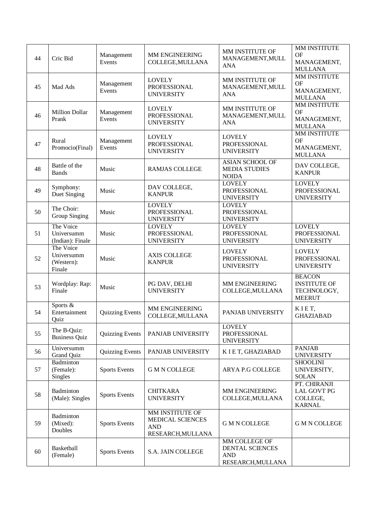| 44 | Cric Bid                                        | Management<br>Events   | MM ENGINEERING<br>COLLEGE, MULLANA                                     | MM INSTITUTE OF<br>MANAGEMENT, MULL<br><b>ANA</b>                   | <b>MM INSTITUTE</b><br><b>OF</b><br>MANAGEMENT,<br><b>MULLANA</b>    |
|----|-------------------------------------------------|------------------------|------------------------------------------------------------------------|---------------------------------------------------------------------|----------------------------------------------------------------------|
| 45 | Mad Ads                                         | Management<br>Events   | <b>LOVELY</b><br>PROFESSIONAL<br><b>UNIVERSITY</b>                     | MM INSTITUTE OF<br>MANAGEMENT, MULL<br><b>ANA</b>                   | <b>MM INSTITUTE</b><br><b>OF</b><br>MANAGEMENT,<br><b>MULLANA</b>    |
| 46 | <b>Million Dollar</b><br>Prank                  | Management<br>Events   | <b>LOVELY</b><br>PROFESSIONAL<br><b>UNIVERSITY</b>                     | MM INSTITUTE OF<br>MANAGEMENT, MULL<br><b>ANA</b>                   | MM INSTITUTE<br><b>OF</b><br>MANAGEMENT,<br><b>MULLANA</b>           |
| 47 | Rural<br>Promocio(Final)                        | Management<br>Events   | <b>LOVELY</b><br><b>PROFESSIONAL</b><br><b>UNIVERSITY</b>              | <b>LOVELY</b><br>PROFESSIONAL<br><b>UNIVERSITY</b>                  | MM INSTITUTE<br><b>OF</b><br>MANAGEMENT,<br><b>MULLANA</b>           |
| 48 | Battle of the<br><b>Bands</b>                   | Music                  | <b>RAMJAS COLLEGE</b>                                                  | <b>ASIAN SCHOOL OF</b><br><b>MEDIA STUDIES</b><br><b>NOIDA</b>      | DAV COLLEGE,<br><b>KANPUR</b>                                        |
| 49 | Symphony:<br>Duet Singing                       | Music                  | DAV COLLEGE,<br><b>KANPUR</b>                                          | <b>LOVELY</b><br>PROFESSIONAL<br><b>UNIVERSITY</b>                  | <b>LOVELY</b><br>PROFESSIONAL<br><b>UNIVERSITY</b>                   |
| 50 | The Choir:<br>Group Singing                     | Music                  | <b>LOVELY</b><br>PROFESSIONAL<br><b>UNIVERSITY</b>                     | <b>LOVELY</b><br>PROFESSIONAL<br><b>UNIVERSITY</b>                  |                                                                      |
| 51 | The Voice<br>Universumm<br>(Indian): Finale     | Music                  | <b>LOVELY</b><br>PROFESSIONAL<br><b>UNIVERSITY</b>                     | <b>LOVELY</b><br>PROFESSIONAL<br><b>UNIVERSITY</b>                  | <b>LOVELY</b><br>PROFESSIONAL<br><b>UNIVERSITY</b>                   |
| 52 | The Voice<br>Universumm<br>(Western):<br>Finale | Music                  | <b>AXIS COLLEGE</b><br><b>KANPUR</b>                                   | <b>LOVELY</b><br>PROFESSIONAL<br><b>UNIVERSITY</b>                  | <b>LOVELY</b><br>PROFESSIONAL<br><b>UNIVERSITY</b>                   |
| 53 | Wordplay: Rap:<br>Finale                        | Music                  | PG DAV, DELHI<br><b>UNIVERSITY</b>                                     | MM ENGINEERING<br>COLLEGE, MULLANA                                  | <b>BEACON</b><br><b>INSTITUTE OF</b><br>TECHNOLOGY,<br><b>MEERUT</b> |
| 54 | Sports &<br>Entertainment<br>Quiz               | <b>Quizzing Events</b> | MM ENGINEERING<br>COLLEGE, MULLANA                                     | PANJAB UNIVERSITY                                                   | KIET,<br><b>GHAZIABAD</b>                                            |
| 55 | The B-Quiz:<br><b>Business Quiz</b>             | <b>Quizzing Events</b> | PANJAB UNIVERSITY                                                      | <b>LOVELY</b><br>PROFESSIONAL<br><b>UNIVERSITY</b>                  |                                                                      |
| 56 | Universumm<br>Grand Quiz                        | <b>Quizzing Events</b> | PANJAB UNIVERSITY                                                      | K I E T, GHAZIABAD                                                  | <b>PANJAB</b><br><b>UNIVERSITY</b>                                   |
| 57 | Badminton<br>(Female):<br><b>Singles</b>        | <b>Sports Events</b>   | <b>G M N COLLEGE</b>                                                   | ARYA P.G COLLEGE                                                    | <b>SHOOLINI</b><br>UNIVERSITY,<br><b>SOLAN</b>                       |
| 58 | Badminton<br>(Male): Singles                    | <b>Sports Events</b>   | <b>CHITKARA</b><br><b>UNIVERSITY</b>                                   | MM ENGINEERING<br>COLLEGE, MULLANA                                  | PT. CHIRANJI<br><b>LAL GOVT PG</b><br>COLLEGE,<br><b>KARNAL</b>      |
| 59 | Badminton<br>(Mixed):<br>Doubles                | <b>Sports Events</b>   | MM INSTITUTE OF<br>MEDICAL SCIENCES<br><b>AND</b><br>RESEARCH, MULLANA | <b>G M N COLLEGE</b>                                                | <b>G M N COLLEGE</b>                                                 |
| 60 | Basketball<br>(Female)                          | <b>Sports Events</b>   | S.A. JAIN COLLEGE                                                      | MM COLLEGE OF<br>DENTAL SCIENCES<br><b>AND</b><br>RESEARCH, MULLANA |                                                                      |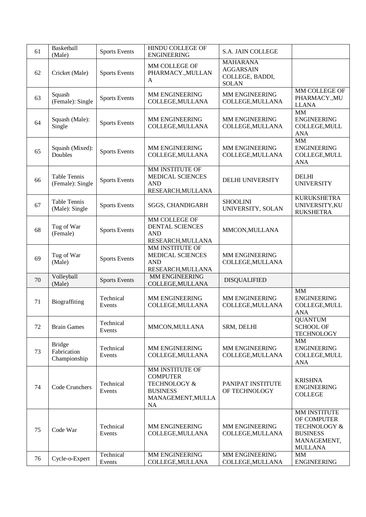| 61 | Basketball<br>(Male)                         | <b>Sports Events</b> | <b>HINDU COLLEGE OF</b><br><b>ENGINEERING</b>                                                               | S.A. JAIN COLLEGE                                                      |                                                                                                            |
|----|----------------------------------------------|----------------------|-------------------------------------------------------------------------------------------------------------|------------------------------------------------------------------------|------------------------------------------------------------------------------------------------------------|
| 62 | Cricket (Male)                               | <b>Sports Events</b> | MM COLLEGE OF<br>PHARMACY., MULLAN<br>A                                                                     | <b>MAHARANA</b><br><b>AGGARSAIN</b><br>COLLEGE, BADDI,<br><b>SOLAN</b> |                                                                                                            |
| 63 | Squash<br>(Female): Single                   | <b>Sports Events</b> | MM ENGINEERING<br>COLLEGE, MULLANA                                                                          | MM ENGINEERING<br>COLLEGE, MULLANA                                     | MM COLLEGE OF<br>PHARMACY., MU<br><b>LLANA</b>                                                             |
| 64 | Squash (Male):<br>Single                     | <b>Sports Events</b> | MM ENGINEERING<br>COLLEGE, MULLANA                                                                          | MM ENGINEERING<br>COLLEGE, MULLANA                                     | MM<br><b>ENGINEERING</b><br>COLLEGE, MULL<br><b>ANA</b>                                                    |
| 65 | Squash (Mixed):<br>Doubles                   | <b>Sports Events</b> | MM ENGINEERING<br>COLLEGE, MULLANA                                                                          | MM ENGINEERING<br>COLLEGE, MULLANA                                     | MM<br><b>ENGINEERING</b><br>COLLEGE, MULL<br><b>ANA</b>                                                    |
| 66 | <b>Table Tennis</b><br>(Female): Single      | <b>Sports Events</b> | MM INSTITUTE OF<br>MEDICAL SCIENCES<br><b>AND</b><br>RESEARCH, MULLANA                                      | DELHI UNIVERSITY                                                       | <b>DELHI</b><br><b>UNIVERSITY</b>                                                                          |
| 67 | Table Tennis<br>(Male): Single               | <b>Sports Events</b> | SGGS, CHANDIGARH                                                                                            | <b>SHOOLINI</b><br>UNIVERSITY, SOLAN                                   | <b>KURUKSHETRA</b><br>UNIVERSITY, KU<br><b>RUKSHETRA</b>                                                   |
| 68 | Tug of War<br>(Female)                       | <b>Sports Events</b> | MM COLLEGE OF<br><b>DENTAL SCIENCES</b><br><b>AND</b><br>RESEARCH, MULLANA                                  | MMCON, MULLANA                                                         |                                                                                                            |
| 69 | Tug of War<br>(Male)                         | <b>Sports Events</b> | MM INSTITUTE OF<br>MEDICAL SCIENCES<br><b>AND</b><br>RESEARCH, MULLANA                                      | MM ENGINEERING<br>COLLEGE, MULLANA                                     |                                                                                                            |
| 70 | Volleyball<br>(Male)                         | <b>Sports Events</b> | MM ENGINEERING<br>COLLEGE, MULLANA                                                                          | <b>DISQUALIFIED</b>                                                    |                                                                                                            |
| 71 | Biograffiting                                | Technical<br>Events  | MM ENGINEERING<br>COLLEGE, MULLANA                                                                          | MM ENGINEERING<br>COLLEGE, MULLANA                                     | MM<br><b>ENGINEERING</b><br>COLLEGE, MULL<br><b>ANA</b>                                                    |
| 72 | <b>Brain Games</b>                           | Technical<br>Events  | MMCON, MULLANA                                                                                              | SRM, DELHI                                                             | <b>QUANTUM</b><br><b>SCHOOL OF</b><br><b>TECHNOLOGY</b>                                                    |
| 73 | <b>Bridge</b><br>Fabrication<br>Championship | Technical<br>Events  | MM ENGINEERING<br>COLLEGE, MULLANA                                                                          | MM ENGINEERING<br>COLLEGE, MULLANA                                     | <b>MM</b><br><b>ENGINEERING</b><br>COLLEGE, MULL<br><b>ANA</b>                                             |
| 74 | Code Crunchers                               | Technical<br>Events  | MM INSTITUTE OF<br><b>COMPUTER</b><br><b>TECHNOLOGY &amp;</b><br><b>BUSINESS</b><br>MANAGEMENT, MULLA<br>NA | PANIPAT INSTITUTE<br>OF TECHNOLOGY                                     | <b>KRISHNA</b><br><b>ENGINEERING</b><br><b>COLLEGE</b>                                                     |
| 75 | Code War                                     | Technical<br>Events  | MM ENGINEERING<br>COLLEGE, MULLANA                                                                          | MM ENGINEERING<br>COLLEGE, MULLANA                                     | MM INSTITUTE<br>OF COMPUTER<br><b>TECHNOLOGY &amp;</b><br><b>BUSINESS</b><br>MANAGEMENT,<br><b>MULLANA</b> |
| 76 | Cycle-o-Expert                               | Technical<br>Events  | MM ENGINEERING<br>COLLEGE, MULLANA                                                                          | MM ENGINEERING<br>COLLEGE, MULLANA                                     | MM<br><b>ENGINEERING</b>                                                                                   |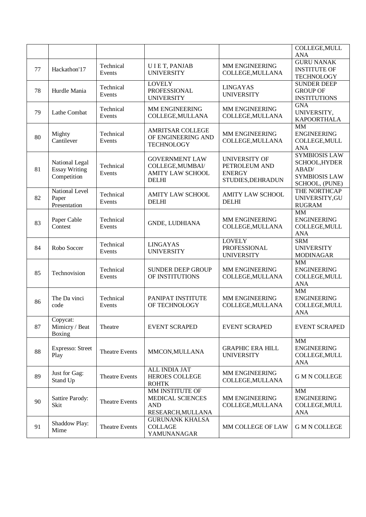|    |                                                       |                       |                                                                                      |                                                                             | COLLEGE, MULL                                                                            |
|----|-------------------------------------------------------|-----------------------|--------------------------------------------------------------------------------------|-----------------------------------------------------------------------------|------------------------------------------------------------------------------------------|
|    |                                                       |                       |                                                                                      |                                                                             | <b>ANA</b>                                                                               |
| 77 | Hackathon'17                                          | Technical<br>Events   | UIET, PANJAB<br><b>UNIVERSITY</b>                                                    | MM ENGINEERING<br>COLLEGE, MULLANA                                          | <b>GURU NANAK</b><br><b>INSTITUTE OF</b><br><b>TECHNOLOGY</b>                            |
| 78 | Hurdle Mania                                          | Technical<br>Events   | <b>LOVELY</b><br>PROFESSIONAL<br><b>UNIVERSITY</b>                                   | <b>LINGAYAS</b><br><b>UNIVERSITY</b>                                        | <b>SUNDER DEEP</b><br><b>GROUP OF</b><br><b>INSTITUTIONS</b>                             |
| 79 | Lathe Combat                                          | Technical<br>Events   | MM ENGINEERING<br>COLLEGE, MULLANA                                                   | MM ENGINEERING<br>COLLEGE, MULLANA                                          | <b>GNA</b><br>UNIVERSITY,<br><b>KAPOORTHALA</b>                                          |
| 80 | Mighty<br>Cantilever                                  | Technical<br>Events   | <b>AMRITSAR COLLEGE</b><br>OF ENGINEERING AND<br><b>TECHNOLOGY</b>                   | MM ENGINEERING<br>COLLEGE, MULLANA                                          | MM<br><b>ENGINEERING</b><br>COLLEGE, MULL<br><b>ANA</b>                                  |
| 81 | National Legal<br><b>Essay Writing</b><br>Competition | Technical<br>Events   | <b>GOVERNMENT LAW</b><br>COLLEGE, MUMBAI/<br><b>AMITY LAW SCHOOL</b><br><b>DELHI</b> | <b>UNIVERSITY OF</b><br>PETROLEUM AND<br><b>ENERGY</b><br>STUDIES, DEHRADUN | <b>SYMBIOSIS LAW</b><br>SCHOOL, HYDER<br>ABAD/<br><b>SYMBIOSIS LAW</b><br>SCHOOL, (PUNE) |
| 82 | National Level<br>Paper<br>Presentation               | Technical<br>Events   | <b>AMITY LAW SCHOOL</b><br><b>DELHI</b>                                              | <b>AMITY LAW SCHOOL</b><br><b>DELHI</b>                                     | THE NORTHCAP<br>UNIVERSITY, GU<br><b>RUGRAM</b>                                          |
| 83 | Paper Cable<br>Contest                                | Technical<br>Events   | <b>GNDE, LUDHIANA</b>                                                                | MM ENGINEERING<br>COLLEGE, MULLANA                                          | $\overline{\text{MM}}$<br><b>ENGINEERING</b><br>COLLEGE, MULL<br><b>ANA</b>              |
| 84 | Robo Soccer                                           | Technical<br>Events   | <b>LINGAYAS</b><br><b>UNIVERSITY</b>                                                 | <b>LOVELY</b><br>PROFESSIONAL<br><b>UNIVERSITY</b>                          | <b>SRM</b><br><b>UNIVERSITY</b><br><b>MODINAGAR</b>                                      |
| 85 | Technovision                                          | Technical<br>Events   | <b>SUNDER DEEP GROUP</b><br>OF INSTITUTIONS                                          | MM ENGINEERING<br>COLLEGE, MULLANA                                          | MM<br><b>ENGINEERING</b><br>COLLEGE, MULL<br><b>ANA</b>                                  |
| 86 | The Da vinci<br>code                                  | Technical<br>Events   | PANIPAT INSTITUTE<br>OF TECHNOLOGY                                                   | MM ENGINEERING<br>COLLEGE, MULLANA                                          | <b>MM</b><br><b>ENGINEERING</b><br>COLLEGE, MULL<br><b>ANA</b>                           |
| 87 | Copycat:<br>Mimicry / Beat<br><b>Boxing</b>           | Theatre               | <b>EVENT SCRAPED</b>                                                                 | <b>EVENT SCRAPED</b>                                                        | <b>EVENT SCRAPED</b>                                                                     |
| 88 | <b>Expresso: Street</b><br>Play                       | <b>Theatre Events</b> | MMCON, MULLANA                                                                       | <b>GRAPHIC ERA HILL</b><br><b>UNIVERSITY</b>                                | MM<br><b>ENGINEERING</b><br>COLLEGE, MULL<br><b>ANA</b>                                  |
| 89 | Just for Gag:<br>Stand Up                             | <b>Theatre Events</b> | ALL INDIA JAT<br><b>HEROES COLLEGE</b><br><b>ROHTK</b>                               | MM ENGINEERING<br>COLLEGE, MULLANA                                          | <b>G M N COLLEGE</b>                                                                     |
| 90 | Sattire Parody:<br>Skit                               | <b>Theatre Events</b> | <b>MM INSTITUTE OF</b><br>MEDICAL SCIENCES<br><b>AND</b><br>RESEARCH, MULLANA        | MM ENGINEERING<br>COLLEGE, MULLANA                                          | MM<br><b>ENGINEERING</b><br>COLLEGE, MULL<br><b>ANA</b>                                  |
| 91 | Shaddow Play:<br>Mime                                 | <b>Theatre Events</b> | <b>GURUNANK KHALSA</b><br><b>COLLAGE</b><br>YAMUNANAGAR                              | MM COLLEGE OF LAW                                                           | <b>G M N COLLEGE</b>                                                                     |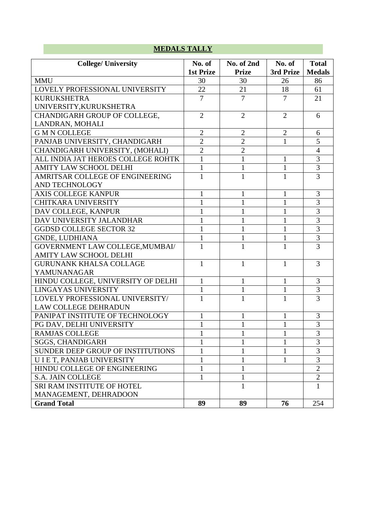# **MEDALS TALLY**

| <b>College/ University</b>         | No. of           | No. of 2nd     | No. of         | <b>Total</b>   |
|------------------------------------|------------------|----------------|----------------|----------------|
|                                    | <b>1st Prize</b> | <b>Prize</b>   | 3rd Prize      | <b>Medals</b>  |
| <b>MMU</b>                         | 30               | 30             | 26             | 86             |
| LOVELY PROFESSIONAL UNIVERSITY     | 22               | 21             | 18             | 61             |
| <b>KURUKSHETRA</b>                 | $\overline{7}$   | $\overline{7}$ | $\overline{7}$ | 21             |
| UNIVERSITY, KURUKSHETRA            |                  |                |                |                |
| CHANDIGARH GROUP OF COLLEGE,       | $\overline{2}$   | $\overline{2}$ | $\overline{2}$ | 6              |
| LANDRAN, MOHALI                    |                  |                |                |                |
| <b>G M N COLLEGE</b>               | $\overline{2}$   | $\overline{2}$ | $\overline{2}$ | 6              |
| PANJAB UNIVERSITY, CHANDIGARH      | $\overline{2}$   | $\overline{2}$ | 1              | 5              |
| CHANDIGARH UNIVERSITY, (MOHALI)    | $\overline{2}$   | $\overline{2}$ |                | $\overline{4}$ |
| ALL INDIA JAT HEROES COLLEGE ROHTK | $\mathbf{1}$     | $\mathbf{1}$   | $\mathbf{1}$   | 3              |
| <b>AMITY LAW SCHOOL DELHI</b>      | $\mathbf{1}$     | $\mathbf{1}$   | $\mathbf{1}$   | 3              |
| AMRITSAR COLLEGE OF ENGINEERING    | 1                | $\mathbf{1}$   | 1              | 3              |
| AND TECHNOLOGY                     |                  |                |                |                |
| <b>AXIS COLLEGE KANPUR</b>         |                  | 1              | 1              | 3              |
| CHITKARA UNIVERSITY                | 1                | $\mathbf{1}$   | $\mathbf{1}$   | 3              |
| DAV COLLEGE, KANPUR                | $\mathbf{1}$     | $\mathbf{1}$   | $\mathbf{1}$   | $\overline{3}$ |
| DAV UNIVERSITY JALANDHAR           | $\mathbf{1}$     | $\mathbf{1}$   | $\mathbf{1}$   | 3              |
| <b>GGDSD COLLEGE SECTOR 32</b>     | 1                | $\mathbf{1}$   | $\mathbf{1}$   | $\overline{3}$ |
| <b>GNDE, LUDHIANA</b>              | 1                | 1              | 1              | 3              |
| GOVERNMENT LAW COLLEGE, MUMBAI/    | $\mathbf{1}$     | $\mathbf{1}$   | $\mathbf{1}$   | $\overline{3}$ |
| <b>AMITY LAW SCHOOL DELHI</b>      |                  |                |                |                |
| <b>GURUNANK KHALSA COLLAGE</b>     | 1                | $\mathbf{1}$   | 1              | 3              |
| YAMUNANAGAR                        |                  |                |                |                |
| HINDU COLLEGE, UNIVERSITY OF DELHI | $\mathbf{1}$     | $\mathbf{1}$   | $\mathbf{1}$   | 3              |
| LINGAYAS UNIVERSITY                | $\mathbf{1}$     | $\mathbf{1}$   | $\mathbf{1}$   | 3              |
| LOVELY PROFESSIONAL UNIVERSITY/    | $\mathbf{1}$     | $\mathbf{1}$   | $\mathbf{1}$   | 3              |
| <b>LAW COLLEGE DEHRADUN</b>        |                  |                |                |                |
| PANIPAT INSTITUTE OF TECHNOLOGY    | $\mathbf{1}$     | 1              | $\mathbf{1}$   | 3              |
| PG DAV, DELHI UNIVERSITY           | 1                | 1              | $\mathbf{1}$   | 3              |
| RAMJAS COLLEGE                     | 1                | 1              | 1              | 3              |
| <b>SGGS, CHANDIGARH</b>            | $\mathbf{1}$     | 1              | $\mathbf{1}$   | 3              |
| SUNDER DEEP GROUP OF INSTITUTIONS  | 1                | 1              | $\mathbf{1}$   | 3              |
| U I E T, PANJAB UNIVERSITY         | 1                | 1              | 1              | 3              |
| HINDU COLLEGE OF ENGINEERING       | 1                | 1              |                | $\overline{2}$ |
| <b>S.A. JAIN COLLEGE</b>           | $\mathbf{1}$     | 1              |                | $\overline{2}$ |
| SRI RAM INSTITUTE OF HOTEL         |                  | $\mathbf{1}$   |                | $\mathbf{1}$   |
| MANAGEMENT, DEHRADOON              |                  |                |                |                |
| <b>Grand Total</b>                 | 89               | 89             | 76             | 254            |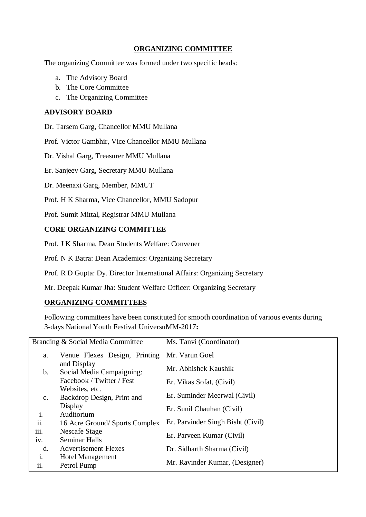## **ORGANIZING COMMITTEE**

The organizing Committee was formed under two specific heads:

- a. The Advisory Board
- b. The Core Committee
- c. The Organizing Committee

#### **ADVISORY BOARD**

Dr. Tarsem Garg, Chancellor MMU Mullana

Prof. Victor Gambhir, Vice Chancellor MMU Mullana

Dr. Vishal Garg, Treasurer MMU Mullana

Er. Sanjeev Garg, Secretary MMU Mullana

Dr. Meenaxi Garg, Member, MMUT

Prof. H K Sharma, Vice Chancellor, MMU Sadopur

Prof. Sumit Mittal, Registrar MMU Mullana

#### **CORE ORGANIZING COMMITTEE**

Prof. J K Sharma, Dean Students Welfare: Convener

Prof. N K Batra: Dean Academics: Organizing Secretary

Prof. R D Gupta: Dy. Director International Affairs: Organizing Secretary

Mr. Deepak Kumar Jha: Student Welfare Officer: Organizing Secretary

#### **ORGANIZING COMMITTEES**

Following committees have been constituted for smooth coordination of various events during 3-days National Youth Festival UniversuMM-2017**:**

|                | Branding & Social Media Committee        | Ms. Tanvi (Coordinator)           |
|----------------|------------------------------------------|-----------------------------------|
| a.             | Venue Flexes Design, Printing            | Mr. Varun Goel                    |
| $\mathbf b$ .  | and Display<br>Social Media Campaigning: | Mr. Abhishek Kaushik              |
|                | Facebook / Twitter / Fest                | Er. Vikas Sofat, (Civil)          |
|                | Websites, etc.                           | Er. Suminder Meerwal (Civil)      |
| $C_{\bullet}$  | Backdrop Design, Print and<br>Display    | Er. Sunil Chauhan (Civil)         |
| $\mathbf{i}$ . | Auditorium                               |                                   |
| ii.            | 16 Acre Ground/Sports Complex            | Er. Parvinder Singh Bisht (Civil) |
| iii.           | Nescafe Stage                            | Er. Parveen Kumar (Civil)         |
| iv.            | <b>Seminar Halls</b>                     |                                   |
| $\mathbf{d}$ . | <b>Advertisement Flexes</b>              | Dr. Sidharth Sharma (Civil)       |
| i.             | Hotel Management                         |                                   |
| ii.            | Petrol Pump                              | Mr. Ravinder Kumar, (Designer)    |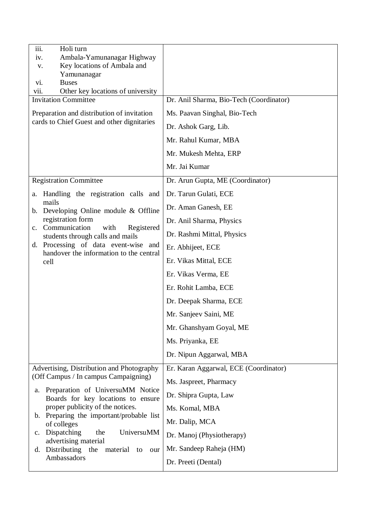| iii.<br>Holi turn<br>Ambala-Yamunanagar Highway<br>iv.                            |                                         |
|-----------------------------------------------------------------------------------|-----------------------------------------|
| Key locations of Ambala and<br>V.                                                 |                                         |
| Yamunanagar<br><b>Buses</b><br>vi.                                                |                                         |
| Other key locations of university<br>vii.                                         |                                         |
| <b>Invitation Committee</b>                                                       | Dr. Anil Sharma, Bio-Tech (Coordinator) |
| Preparation and distribution of invitation                                        | Ms. Paavan Singhal, Bio-Tech            |
| cards to Chief Guest and other dignitaries                                        | Dr. Ashok Garg, Lib.                    |
|                                                                                   | Mr. Rahul Kumar, MBA                    |
|                                                                                   | Mr. Mukesh Mehta, ERP                   |
|                                                                                   | Mr. Jai Kumar                           |
| <b>Registration Committee</b>                                                     | Dr. Arun Gupta, ME (Coordinator)        |
| Handling the registration calls and<br>a.                                         | Dr. Tarun Gulati, ECE                   |
| mails<br>b. Developing Online module & Offline                                    | Dr. Aman Ganesh, EE                     |
| registration form<br>c. Communication<br>with                                     | Dr. Anil Sharma, Physics                |
| Registered<br>students through calls and mails                                    | Dr. Rashmi Mittal, Physics              |
| d. Processing of data event-wise and<br>handover the information to the central   | Er. Abhijeet, ECE                       |
| cell                                                                              | Er. Vikas Mittal, ECE                   |
|                                                                                   | Er. Vikas Verma, EE                     |
|                                                                                   | Er. Rohit Lamba, ECE                    |
|                                                                                   | Dr. Deepak Sharma, ECE                  |
|                                                                                   | Mr. Sanjeev Saini, ME                   |
|                                                                                   | Mr. Ghanshyam Goyal, ME                 |
|                                                                                   | Ms. Priyanka, EE                        |
|                                                                                   | Dr. Nipun Aggarwal, MBA                 |
| Advertising, Distribution and Photography<br>(Off Campus / In campus Campaigning) | Er. Karan Aggarwal, ECE (Coordinator)   |
| Preparation of UniversuMM Notice<br>a.                                            | Ms. Jaspreet, Pharmacy                  |
| Boards for key locations to ensure                                                | Dr. Shipra Gupta, Law                   |
| proper publicity of the notices.<br>Preparing the important/probable list<br>b.   | Ms. Komal, MBA                          |
| of colleges                                                                       | Mr. Dalip, MCA                          |
| Dispatching<br>UniversuMM<br>the<br>$\mathbf{c}$ .<br>advertising material        | Dr. Manoj (Physiotherapy)               |
| Distributing<br>the<br>material<br>to<br>our<br>d.                                | Mr. Sandeep Raheja (HM)                 |
| Ambassadors                                                                       | Dr. Preeti (Dental)                     |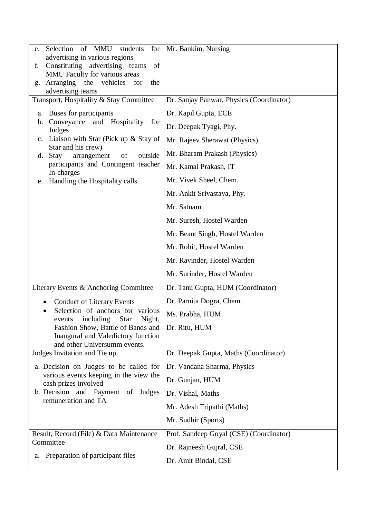| Selection of MMU<br>students<br>for<br>e.                                      | Mr. Bankim, Nursing                      |
|--------------------------------------------------------------------------------|------------------------------------------|
| advertising in various regions                                                 |                                          |
| Constituting advertising teams<br>of<br>f.                                     |                                          |
| MMU Faculty for various areas<br>Arranging the<br>vehicles<br>for<br>the<br>g. |                                          |
| advertising teams                                                              |                                          |
| Transport, Hospitality & Stay Committee                                        | Dr. Sanjay Panwar, Physics (Coordinator) |
| Buses for participants<br>a.                                                   | Dr. Kapil Gupta, ECE                     |
| Conveyance and Hospitality<br>for<br>b.<br>Judges                              | Dr. Deepak Tyagi, Phy.                   |
| c. Liaison with Star (Pick up $&$ Stay of                                      | Mr. Rajeev Sherawat (Physics)            |
| Star and his crew)<br>arrangement<br>of<br>Stay<br>outside<br>d.               | Mr. Bharam Prakash (Physics)             |
| participants and Contingent teacher<br>In-charges                              | Mr. Kamal Prakash, IT                    |
| Handling the Hospitality calls<br>e.                                           | Mr. Vivek Sheel, Chem.                   |
|                                                                                | Mr. Ankit Srivastava, Phy.               |
|                                                                                | Mr. Satnam                               |
|                                                                                | Mr. Suresh, Hostel Warden                |
|                                                                                | Mr. Beant Singh, Hostel Warden           |
|                                                                                | Mr. Rohit, Hostel Warden                 |
|                                                                                | Mr. Ravinder, Hostel Warden              |
|                                                                                | Mr. Surinder, Hostel Warden              |
| Literary Events & Anchoring Committee                                          | Dr. Tanu Gupta, HUM (Coordinator)        |
| <b>Conduct of Literary Events</b>                                              | Dr. Parnita Dogra, Chem.                 |
| Selection of anchors for various<br>events including Star Night,               | Ms. Prabha, HUM                          |
| Fashion Show, Battle of Bands and                                              | Dr. Ritu, HUM                            |
| Inaugural and Valedictory function<br>and other Universumm events.             |                                          |
| Judges Invitation and Tie up                                                   | Dr. Deepak Gupta, Maths (Coordinator)    |
| a. Decision on Judges to be called for                                         | Dr. Vandana Sharma, Physics              |
| various events keeping in the view the<br>cash prizes involved                 | Dr. Gunjan, HUM                          |
| b. Decision and Payment of Judges                                              | Dr. Vishal, Maths                        |
| remuneration and TA                                                            | Mr. Adesh Tripathi (Maths)               |
|                                                                                | Mr. Sudhir (Sports)                      |
| Result, Record (File) & Data Maintenance                                       | Prof. Sandeep Goyal (CSE) (Coordinator)  |
| Committee                                                                      | Dr. Rajneesh Gujral, CSE                 |
| Preparation of participant files<br>a.                                         | Dr. Amit Bindal, CSE                     |
|                                                                                |                                          |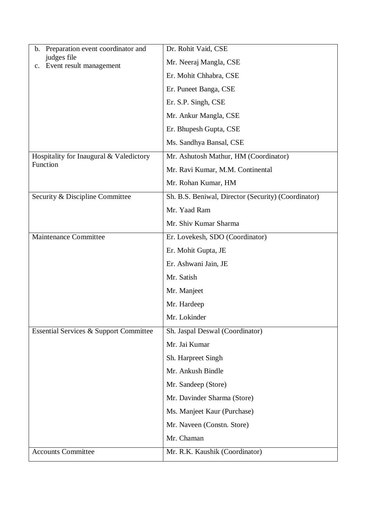| Preparation event coordinator and<br>b.           | Dr. Rohit Vaid, CSE                                 |
|---------------------------------------------------|-----------------------------------------------------|
| judges file<br>Event result management<br>c.      | Mr. Neeraj Mangla, CSE                              |
|                                                   | Er. Mohit Chhabra, CSE                              |
|                                                   | Er. Puneet Banga, CSE                               |
|                                                   | Er. S.P. Singh, CSE                                 |
|                                                   | Mr. Ankur Mangla, CSE                               |
|                                                   | Er. Bhupesh Gupta, CSE                              |
|                                                   | Ms. Sandhya Bansal, CSE                             |
| Hospitality for Inaugural & Valedictory           | Mr. Ashutosh Mathur, HM (Coordinator)               |
| Function                                          | Mr. Ravi Kumar, M.M. Continental                    |
|                                                   | Mr. Rohan Kumar, HM                                 |
| Security & Discipline Committee                   | Sh. B.S. Beniwal, Director (Security) (Coordinator) |
|                                                   | Mr. Yaad Ram                                        |
|                                                   | Mr. Shiv Kumar Sharma                               |
| Maintenance Committee                             | Er. Lovekesh, SDO (Coordinator)                     |
|                                                   | Er. Mohit Gupta, JE                                 |
|                                                   | Er. Ashwani Jain, JE                                |
|                                                   | Mr. Satish                                          |
|                                                   | Mr. Manjeet                                         |
|                                                   | Mr. Hardeep                                         |
|                                                   | Mr. Lokinder                                        |
| <b>Essential Services &amp; Support Committee</b> | Sh. Jaspal Deswal (Coordinator)                     |
|                                                   | Mr. Jai Kumar                                       |
|                                                   | Sh. Harpreet Singh                                  |
|                                                   | Mr. Ankush Bindle                                   |
|                                                   | Mr. Sandeep (Store)                                 |
|                                                   | Mr. Davinder Sharma (Store)                         |
|                                                   | Ms. Manjeet Kaur (Purchase)                         |
|                                                   | Mr. Naveen (Constn. Store)                          |
|                                                   | Mr. Chaman                                          |
| <b>Accounts Committee</b>                         | Mr. R.K. Kaushik (Coordinator)                      |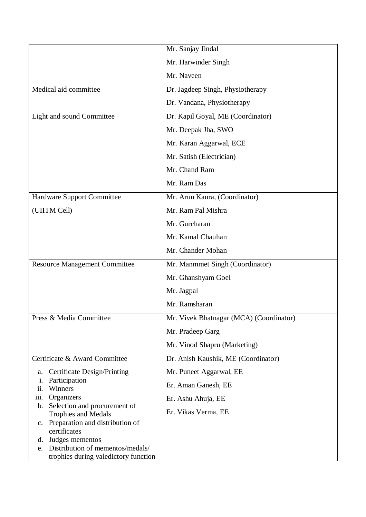|                                                                                | Mr. Sanjay Jindal                       |
|--------------------------------------------------------------------------------|-----------------------------------------|
|                                                                                | Mr. Harwinder Singh                     |
|                                                                                | Mr. Naveen                              |
| Medical aid committee                                                          | Dr. Jagdeep Singh, Physiotherapy        |
|                                                                                | Dr. Vandana, Physiotherapy              |
| Light and sound Committee                                                      | Dr. Kapil Goyal, ME (Coordinator)       |
|                                                                                | Mr. Deepak Jha, SWO                     |
|                                                                                | Mr. Karan Aggarwal, ECE                 |
|                                                                                | Mr. Satish (Electrician)                |
|                                                                                | Mr. Chand Ram                           |
|                                                                                | Mr. Ram Das                             |
| Hardware Support Committee                                                     | Mr. Arun Kaura, (Coordinator)           |
| (UIITM Cell)                                                                   | Mr. Ram Pal Mishra                      |
|                                                                                | Mr. Gurcharan                           |
|                                                                                | Mr. Kamal Chauhan                       |
|                                                                                | Mr. Chander Mohan                       |
| <b>Resource Management Committee</b>                                           | Mr. Manmmet Singh (Coordinator)         |
|                                                                                | Mr. Ghanshyam Goel                      |
|                                                                                | Mr. Jagpal                              |
|                                                                                | Mr. Ramsharan                           |
| Press & Media Committee                                                        | Mr. Vivek Bhatnagar (MCA) (Coordinator) |
|                                                                                | Mr. Pradeep Garg                        |
|                                                                                | Mr. Vinod Shapru (Marketing)            |
| Certificate & Award Committee                                                  | Dr. Anish Kaushik, ME (Coordinator)     |
| <b>Certificate Design/Printing</b><br>a.                                       | Mr. Puneet Aggarwal, EE                 |
| Participation<br>i.<br>Winners<br>ii.                                          | Er. Aman Ganesh, EE                     |
| Organizers<br>iii.<br>Selection and procurement of<br>b.                       | Er. Ashu Ahuja, EE                      |
| <b>Trophies and Medals</b>                                                     | Er. Vikas Verma, EE                     |
| Preparation and distribution of<br>$c_{\cdot}$<br>certificates                 |                                         |
| d. Judges mementos                                                             |                                         |
| Distribution of mementos/medals/<br>e.<br>trophies during valedictory function |                                         |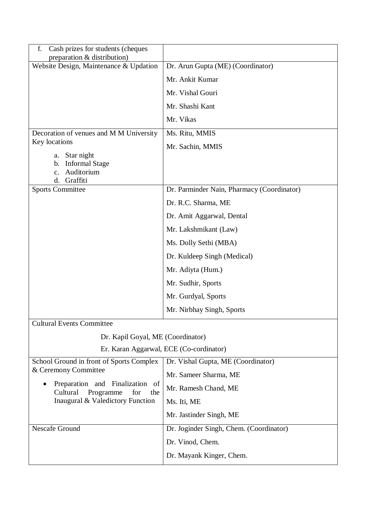| Cash prizes for students (cheques<br>f.<br>preparation & distribution)    |                                            |
|---------------------------------------------------------------------------|--------------------------------------------|
| Website Design, Maintenance & Updation                                    | Dr. Arun Gupta (ME) (Coordinator)          |
|                                                                           | Mr. Ankit Kumar                            |
|                                                                           | Mr. Vishal Gouri                           |
|                                                                           | Mr. Shashi Kant                            |
|                                                                           | Mr. Vikas                                  |
| Decoration of venues and M M University                                   | Ms. Ritu, MMIS                             |
| Key locations                                                             | Mr. Sachin, MMIS                           |
| Star night<br>a.<br><b>Informal Stage</b><br>b.                           |                                            |
| Auditorium<br>c.                                                          |                                            |
| Graffiti<br>d.<br><b>Sports Committee</b>                                 | Dr. Parminder Nain, Pharmacy (Coordinator) |
|                                                                           | Dr. R.C. Sharma, ME                        |
|                                                                           |                                            |
|                                                                           | Dr. Amit Aggarwal, Dental                  |
|                                                                           | Mr. Lakshmikant (Law)                      |
|                                                                           | Ms. Dolly Sethi (MBA)                      |
|                                                                           | Dr. Kuldeep Singh (Medical)                |
|                                                                           | Mr. Adiyta (Hum.)                          |
|                                                                           | Mr. Sudhir, Sports                         |
|                                                                           | Mr. Gurdyal, Sports                        |
|                                                                           | Mr. Nirbhay Singh, Sports                  |
| <b>Cultural Events Committee</b>                                          |                                            |
| Dr. Kapil Goyal, ME (Coordinator)                                         |                                            |
|                                                                           | Er. Karan Aggarwal, ECE (Co-cordinator)    |
| School Ground in front of Sports Complex                                  | Dr. Vishal Gupta, ME (Coordinator)         |
| & Ceremony Committee                                                      | Mr. Sameer Sharma, ME                      |
| Preparation and Finalization<br>of<br>Cultural<br>for<br>Programme<br>the | Mr. Ramesh Chand, ME                       |
| Inaugural & Valedictory Function                                          | Ms. Iti, ME                                |
|                                                                           | Mr. Jastinder Singh, ME                    |
| <b>Nescafe Ground</b>                                                     | Dr. Joginder Singh, Chem. (Coordinator)    |
|                                                                           | Dr. Vinod, Chem.                           |
|                                                                           | Dr. Mayank Kinger, Chem.                   |
|                                                                           |                                            |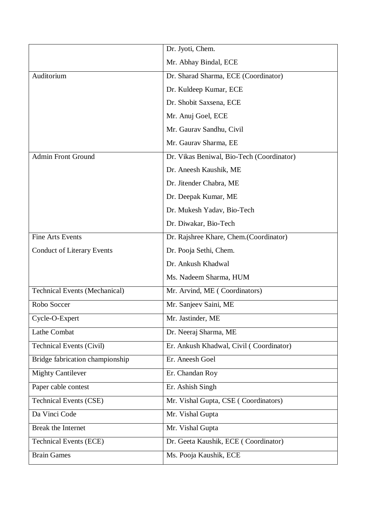|                                      | Dr. Jyoti, Chem.                          |
|--------------------------------------|-------------------------------------------|
|                                      | Mr. Abhay Bindal, ECE                     |
| Auditorium                           | Dr. Sharad Sharma, ECE (Coordinator)      |
|                                      | Dr. Kuldeep Kumar, ECE                    |
|                                      | Dr. Shobit Saxsena, ECE                   |
|                                      | Mr. Anuj Goel, ECE                        |
|                                      | Mr. Gaurav Sandhu, Civil                  |
|                                      | Mr. Gaurav Sharma, EE                     |
| Admin Front Ground                   | Dr. Vikas Beniwal, Bio-Tech (Coordinator) |
|                                      | Dr. Aneesh Kaushik, ME                    |
|                                      | Dr. Jitender Chabra, ME                   |
|                                      | Dr. Deepak Kumar, ME                      |
|                                      | Dr. Mukesh Yadav, Bio-Tech                |
|                                      | Dr. Diwakar, Bio-Tech                     |
| <b>Fine Arts Events</b>              | Dr. Rajshree Khare, Chem. (Coordinator)   |
| <b>Conduct of Literary Events</b>    | Dr. Pooja Sethi, Chem.                    |
|                                      | Dr. Ankush Khadwal                        |
|                                      | Ms. Nadeem Sharma, HUM                    |
| <b>Technical Events (Mechanical)</b> | Mr. Arvind, ME (Coordinators)             |
| Robo Soccer                          | Mr. Sanjeev Saini, ME                     |
| Cycle-O-Expert                       | Mr. Jastinder, ME                         |
| Lathe Combat                         | Dr. Neeraj Sharma, ME                     |
| <b>Technical Events (Civil)</b>      | Er. Ankush Khadwal, Civil (Coordinator)   |
| Bridge fabrication championship      | Er. Aneesh Goel                           |
| <b>Mighty Cantilever</b>             | Er. Chandan Roy                           |
| Paper cable contest                  | Er. Ashish Singh                          |
| <b>Technical Events (CSE)</b>        | Mr. Vishal Gupta, CSE (Coordinators)      |
| Da Vinci Code                        | Mr. Vishal Gupta                          |
| <b>Break the Internet</b>            | Mr. Vishal Gupta                          |
| <b>Technical Events (ECE)</b>        | Dr. Geeta Kaushik, ECE (Coordinator)      |
| <b>Brain Games</b>                   | Ms. Pooja Kaushik, ECE                    |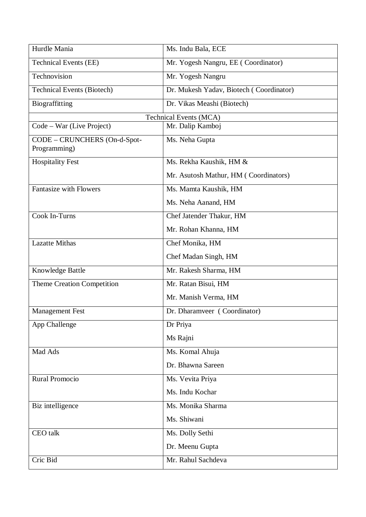| Hurdle Mania                      | Ms. Indu Bala, ECE                      |
|-----------------------------------|-----------------------------------------|
| <b>Technical Events (EE)</b>      | Mr. Yogesh Nangru, EE (Coordinator)     |
| Technovision                      | Mr. Yogesh Nangru                       |
| <b>Technical Events (Biotech)</b> | Dr. Mukesh Yadav, Biotech (Coordinator) |
| Biograffitting                    | Dr. Vikas Meashi (Biotech)              |
|                                   | <b>Technical Events (MCA)</b>           |
| Code – War (Live Project)         | Mr. Dalip Kamboj                        |
| CODE - CRUNCHERS (On-d-Spot-      | Ms. Neha Gupta                          |
| Programming)                      |                                         |
| <b>Hospitality Fest</b>           | Ms. Rekha Kaushik, HM &                 |
|                                   | Mr. Asutosh Mathur, HM (Coordinators)   |
| <b>Fantasize with Flowers</b>     | Ms. Mamta Kaushik, HM                   |
|                                   | Ms. Neha Aanand, HM                     |
| Cook In-Turns                     | Chef Jatender Thakur, HM                |
|                                   | Mr. Rohan Khanna, HM                    |
| <b>Lazatte Mithas</b>             | Chef Monika, HM                         |
|                                   | Chef Madan Singh, HM                    |
| Knowledge Battle                  | Mr. Rakesh Sharma, HM                   |
| Theme Creation Competition        | Mr. Ratan Bisui, HM                     |
|                                   | Mr. Manish Verma, HM                    |
| <b>Management Fest</b>            | Dr. Dharamveer (Coordinator)            |
| App Challenge                     | Dr Priya                                |
|                                   | Ms Rajni                                |
| Mad Ads                           | Ms. Komal Ahuja                         |
|                                   | Dr. Bhawna Sareen                       |
| <b>Rural Promocio</b>             | Ms. Vevita Priya                        |
|                                   | Ms. Indu Kochar                         |
| Biz intelligence                  | Ms. Monika Sharma                       |
|                                   | Ms. Shiwani                             |
| CEO talk                          | Ms. Dolly Sethi                         |
|                                   | Dr. Meenu Gupta                         |
| Cric Bid                          | Mr. Rahul Sachdeva                      |